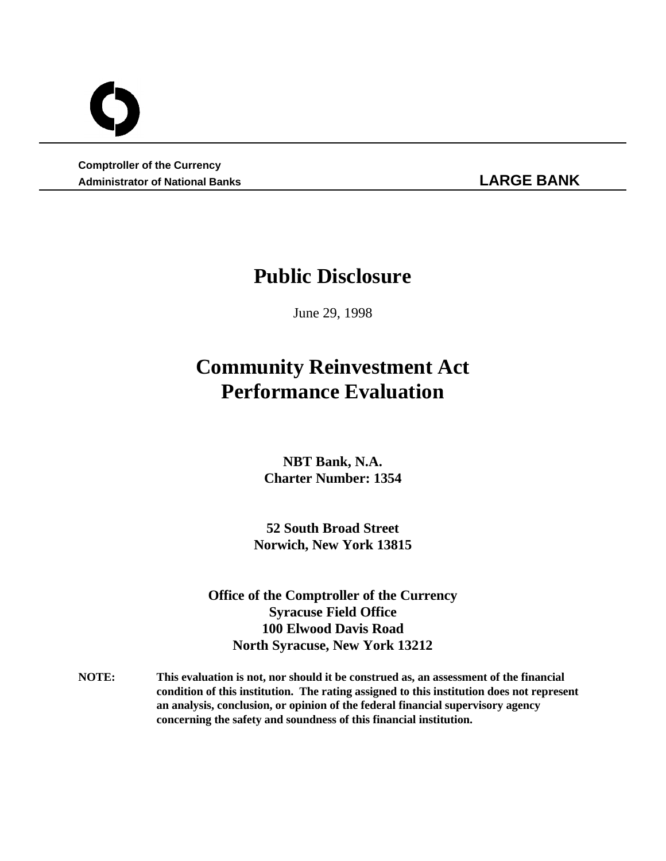**Comptroller of the Currency Administrator of National Banks LARGE BANK**

# **Public Disclosure**

June 29, 1998

# **Community Reinvestment Act Performance Evaluation**

**NBT Bank, N.A. Charter Number: 1354**

**52 South Broad Street Norwich, New York 13815**

**Office of the Comptroller of the Currency Syracuse Field Office 100 Elwood Davis Road North Syracuse, New York 13212**

**NOTE: This evaluation is not, nor should it be construed as, an assessment of the financial condition of this institution. The rating assigned to this institution does not represent an analysis, conclusion, or opinion of the federal financial supervisory agency concerning the safety and soundness of this financial institution.**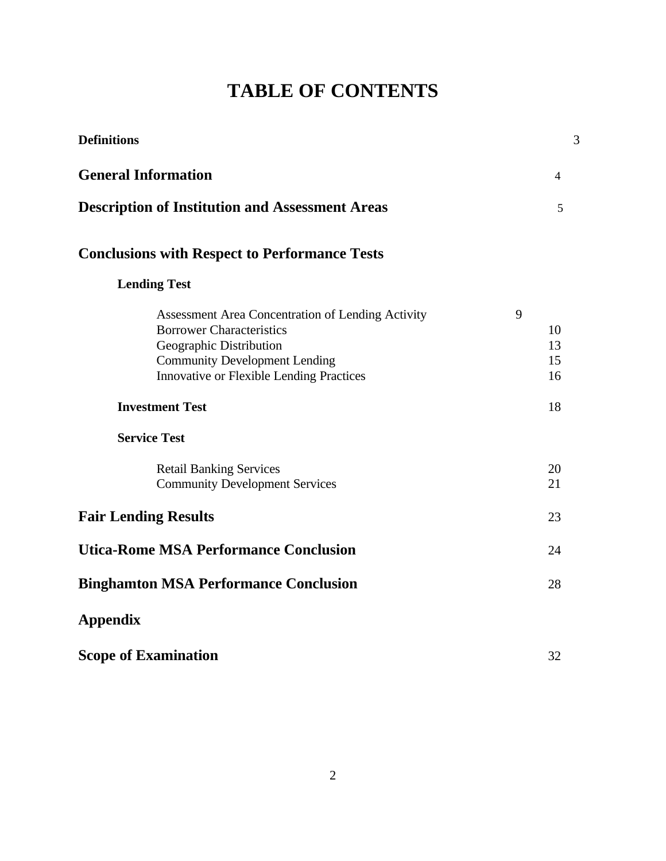# **TABLE OF CONTENTS**

| <b>Definitions</b>                                                                                                                                                                                                                   | 3                               |
|--------------------------------------------------------------------------------------------------------------------------------------------------------------------------------------------------------------------------------------|---------------------------------|
| <b>General Information</b>                                                                                                                                                                                                           | 4                               |
| <b>Description of Institution and Assessment Areas</b>                                                                                                                                                                               | 5                               |
| <b>Conclusions with Respect to Performance Tests</b>                                                                                                                                                                                 |                                 |
| <b>Lending Test</b>                                                                                                                                                                                                                  |                                 |
| Assessment Area Concentration of Lending Activity<br><b>Borrower Characteristics</b><br>Geographic Distribution<br><b>Community Development Lending</b><br><b>Innovative or Flexible Lending Practices</b><br><b>Investment Test</b> | 9<br>10<br>13<br>15<br>16<br>18 |
| <b>Service Test</b>                                                                                                                                                                                                                  |                                 |
| <b>Retail Banking Services</b><br><b>Community Development Services</b>                                                                                                                                                              | 20<br>21                        |
| <b>Fair Lending Results</b>                                                                                                                                                                                                          | 23                              |
| <b>Utica-Rome MSA Performance Conclusion</b>                                                                                                                                                                                         | 24                              |
| <b>Binghamton MSA Performance Conclusion</b>                                                                                                                                                                                         | 28                              |
| <b>Appendix</b>                                                                                                                                                                                                                      |                                 |
| <b>Scope of Examination</b>                                                                                                                                                                                                          | 32                              |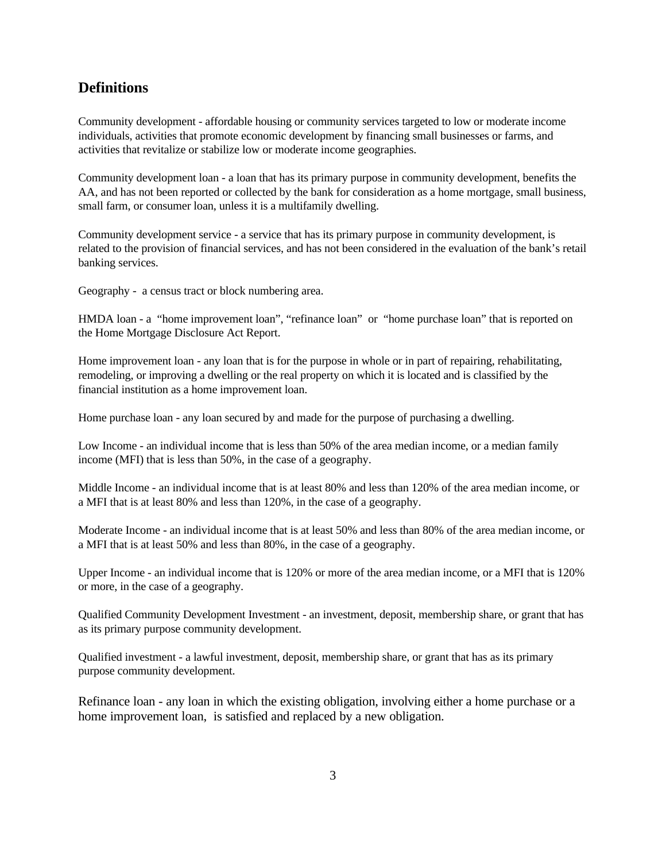# **Definitions**

Community development - affordable housing or community services targeted to low or moderate income individuals, activities that promote economic development by financing small businesses or farms, and activities that revitalize or stabilize low or moderate income geographies.

Community development loan - a loan that has its primary purpose in community development, benefits the AA, and has not been reported or collected by the bank for consideration as a home mortgage, small business, small farm, or consumer loan, unless it is a multifamily dwelling.

Community development service - a service that has its primary purpose in community development, is related to the provision of financial services, and has not been considered in the evaluation of the bank's retail banking services.

Geography - a census tract or block numbering area.

HMDA loan - a "home improvement loan", "refinance loan" or "home purchase loan" that is reported on the Home Mortgage Disclosure Act Report.

Home improvement loan - any loan that is for the purpose in whole or in part of repairing, rehabilitating, remodeling, or improving a dwelling or the real property on which it is located and is classified by the financial institution as a home improvement loan.

Home purchase loan - any loan secured by and made for the purpose of purchasing a dwelling.

Low Income - an individual income that is less than 50% of the area median income, or a median family income (MFI) that is less than 50%, in the case of a geography.

Middle Income - an individual income that is at least 80% and less than 120% of the area median income, or a MFI that is at least 80% and less than 120%, in the case of a geography.

Moderate Income - an individual income that is at least 50% and less than 80% of the area median income, or a MFI that is at least 50% and less than 80%, in the case of a geography.

Upper Income - an individual income that is 120% or more of the area median income, or a MFI that is 120% or more, in the case of a geography.

Qualified Community Development Investment - an investment, deposit, membership share, or grant that has as its primary purpose community development.

Qualified investment - a lawful investment, deposit, membership share, or grant that has as its primary purpose community development.

Refinance loan - any loan in which the existing obligation, involving either a home purchase or a home improvement loan, is satisfied and replaced by a new obligation.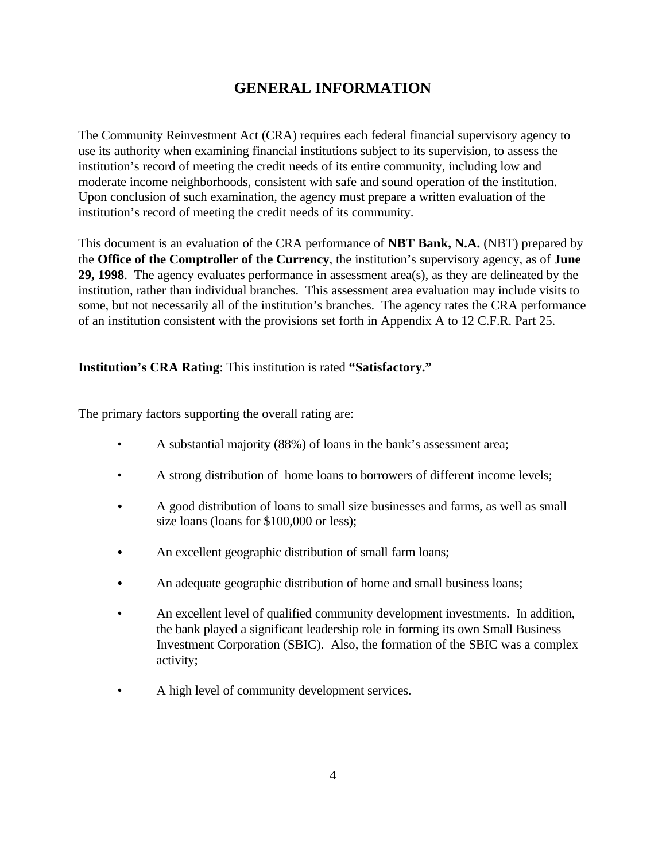# **GENERAL INFORMATION**

The Community Reinvestment Act (CRA) requires each federal financial supervisory agency to use its authority when examining financial institutions subject to its supervision, to assess the institution's record of meeting the credit needs of its entire community, including low and moderate income neighborhoods, consistent with safe and sound operation of the institution. Upon conclusion of such examination, the agency must prepare a written evaluation of the institution's record of meeting the credit needs of its community.

This document is an evaluation of the CRA performance of **NBT Bank, N.A.** (NBT) prepared by the **Office of the Comptroller of the Currency**, the institution's supervisory agency, as of **June 29, 1998**. The agency evaluates performance in assessment area(s), as they are delineated by the institution, rather than individual branches. This assessment area evaluation may include visits to some, but not necessarily all of the institution's branches. The agency rates the CRA performance of an institution consistent with the provisions set forth in Appendix A to 12 C.F.R. Part 25.

## **Institution's CRA Rating**: This institution is rated **"Satisfactory."**

The primary factors supporting the overall rating are:

- A substantial majority (88%) of loans in the bank's assessment area;
- A strong distribution of home loans to borrowers of different income levels;
- A good distribution of loans to small size businesses and farms, as well as small size loans (loans for \$100,000 or less);
- An excellent geographic distribution of small farm loans;
- An adequate geographic distribution of home and small business loans;
- An excellent level of qualified community development investments. In addition, the bank played a significant leadership role in forming its own Small Business Investment Corporation (SBIC). Also, the formation of the SBIC was a complex activity;
- A high level of community development services.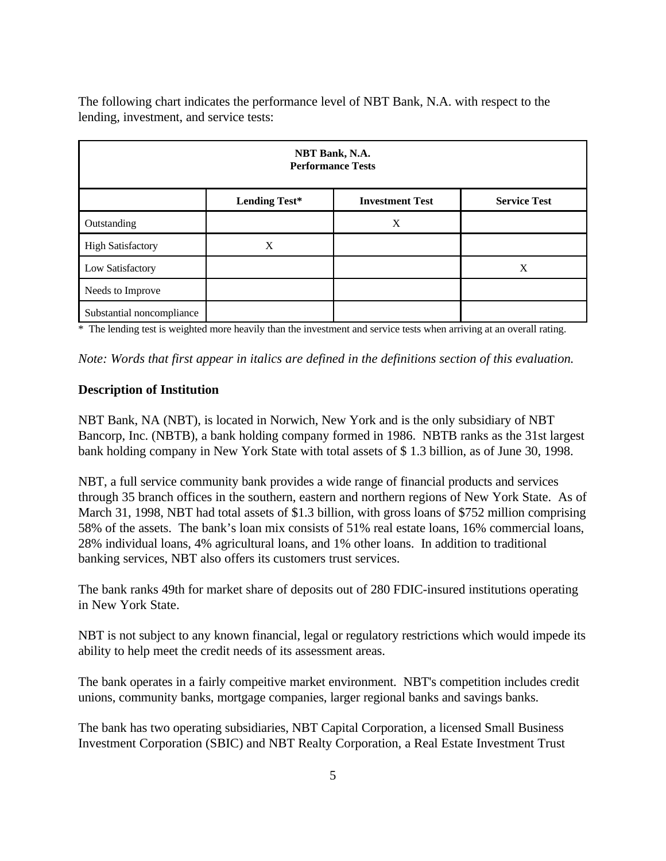The following chart indicates the performance level of NBT Bank, N.A. with respect to the lending, investment, and service tests:

| NBT Bank, N.A.<br><b>Performance Tests</b> |                                                                       |   |  |  |  |  |  |  |
|--------------------------------------------|-----------------------------------------------------------------------|---|--|--|--|--|--|--|
|                                            | <b>Lending Test*</b><br><b>Investment Test</b><br><b>Service Test</b> |   |  |  |  |  |  |  |
| Outstanding                                |                                                                       | X |  |  |  |  |  |  |
| <b>High Satisfactory</b>                   | X                                                                     |   |  |  |  |  |  |  |
| Low Satisfactory                           | X                                                                     |   |  |  |  |  |  |  |
| Needs to Improve                           |                                                                       |   |  |  |  |  |  |  |
| Substantial noncompliance                  |                                                                       |   |  |  |  |  |  |  |

\* The lending test is weighted more heavily than the investment and service tests when arriving at an overall rating.

*Note: Words that first appear in italics are defined in the definitions section of this evaluation.* 

#### **Description of Institution**

NBT Bank, NA (NBT), is located in Norwich, New York and is the only subsidiary of NBT Bancorp, Inc. (NBTB), a bank holding company formed in 1986. NBTB ranks as the 31st largest bank holding company in New York State with total assets of \$ 1.3 billion, as of June 30, 1998.

NBT, a full service community bank provides a wide range of financial products and services through 35 branch offices in the southern, eastern and northern regions of New York State. As of March 31, 1998, NBT had total assets of \$1.3 billion, with gross loans of \$752 million comprising 58% of the assets. The bank's loan mix consists of 51% real estate loans, 16% commercial loans, 28% individual loans, 4% agricultural loans, and 1% other loans. In addition to traditional banking services, NBT also offers its customers trust services.

The bank ranks 49th for market share of deposits out of 280 FDIC-insured institutions operating in New York State.

NBT is not subject to any known financial, legal or regulatory restrictions which would impede its ability to help meet the credit needs of its assessment areas.

The bank operates in a fairly compeitive market environment. NBT's competition includes credit unions, community banks, mortgage companies, larger regional banks and savings banks.

The bank has two operating subsidiaries, NBT Capital Corporation, a licensed Small Business Investment Corporation (SBIC) and NBT Realty Corporation, a Real Estate Investment Trust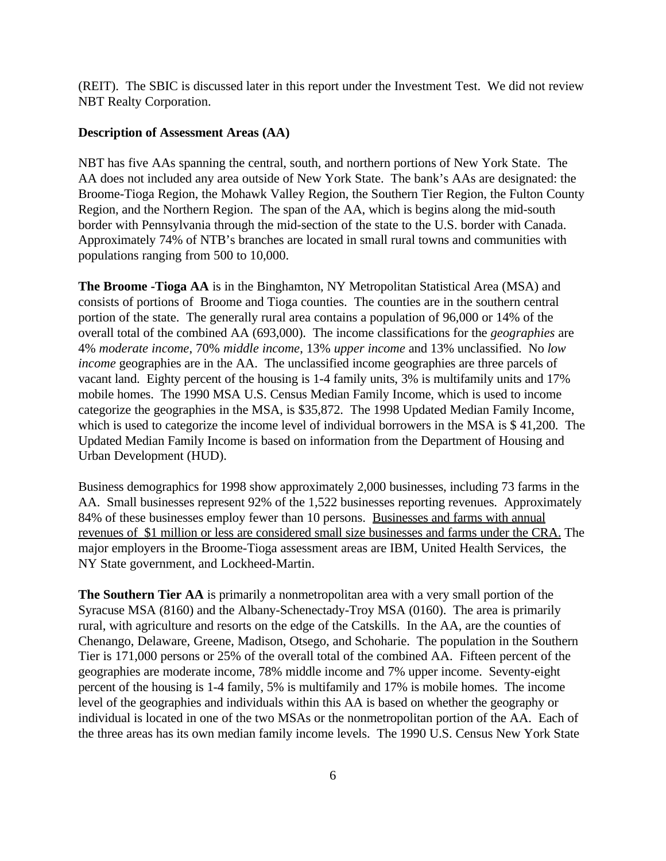(REIT). The SBIC is discussed later in this report under the Investment Test. We did not review NBT Realty Corporation.

#### **Description of Assessment Areas (AA)**

NBT has five AAs spanning the central, south, and northern portions of New York State. The AA does not included any area outside of New York State. The bank's AAs are designated: the Broome-Tioga Region, the Mohawk Valley Region, the Southern Tier Region, the Fulton County Region, and the Northern Region. The span of the AA, which is begins along the mid-south border with Pennsylvania through the mid-section of the state to the U.S. border with Canada. Approximately 74% of NTB's branches are located in small rural towns and communities with populations ranging from 500 to 10,000.

**The Broome -Tioga AA** is in the Binghamton, NY Metropolitan Statistical Area (MSA) and consists of portions of Broome and Tioga counties. The counties are in the southern central portion of the state. The generally rural area contains a population of 96,000 or 14% of the overall total of the combined AA (693,000). The income classifications for the *geographies* are 4% *moderate income*, 70% *middle income*, 13% *upper income* and 13% unclassified. No *low income* geographies are in the AA. The unclassified income geographies are three parcels of vacant land. Eighty percent of the housing is 1-4 family units, 3% is multifamily units and 17% mobile homes. The 1990 MSA U.S. Census Median Family Income, which is used to income categorize the geographies in the MSA, is \$35,872. The 1998 Updated Median Family Income, which is used to categorize the income level of individual borrowers in the MSA is \$41,200. The Updated Median Family Income is based on information from the Department of Housing and Urban Development (HUD).

Business demographics for 1998 show approximately 2,000 businesses, including 73 farms in the AA. Small businesses represent 92% of the 1,522 businesses reporting revenues. Approximately 84% of these businesses employ fewer than 10 persons. Businesses and farms with annual revenues of \$1 million or less are considered small size businesses and farms under the CRA. The major employers in the Broome-Tioga assessment areas are IBM, United Health Services, the NY State government, and Lockheed-Martin.

**The Southern Tier AA** is primarily a nonmetropolitan area with a very small portion of the Syracuse MSA (8160) and the Albany-Schenectady-Troy MSA (0160). The area is primarily rural, with agriculture and resorts on the edge of the Catskills. In the AA, are the counties of Chenango, Delaware, Greene, Madison, Otsego, and Schoharie. The population in the Southern Tier is 171,000 persons or 25% of the overall total of the combined AA. Fifteen percent of the geographies are moderate income, 78% middle income and 7% upper income. Seventy-eight percent of the housing is 1-4 family, 5% is multifamily and 17% is mobile homes. The income level of the geographies and individuals within this AA is based on whether the geography or individual is located in one of the two MSAs or the nonmetropolitan portion of the AA. Each of the three areas has its own median family income levels. The 1990 U.S. Census New York State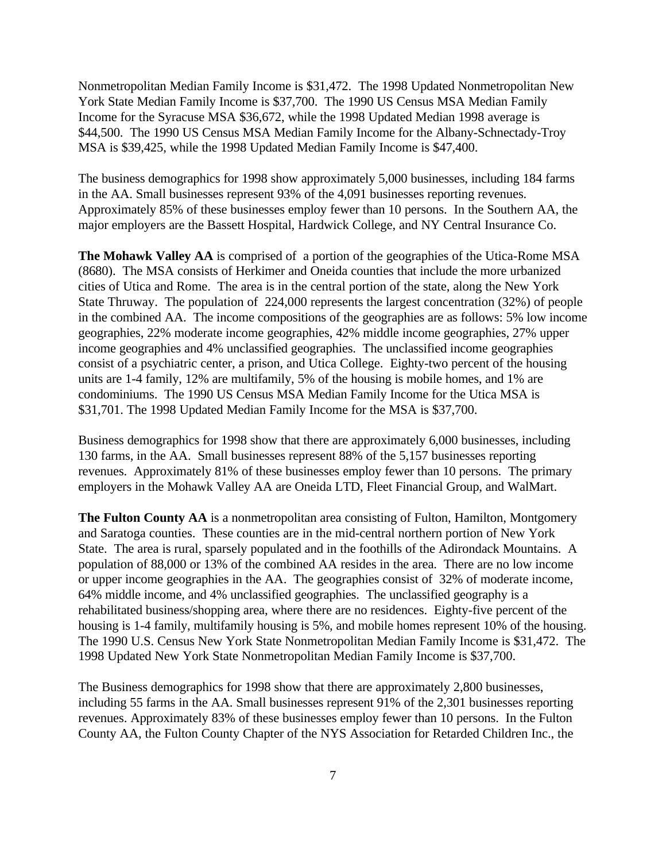Nonmetropolitan Median Family Income is \$31,472. The 1998 Updated Nonmetropolitan New York State Median Family Income is \$37,700. The 1990 US Census MSA Median Family Income for the Syracuse MSA \$36,672, while the 1998 Updated Median 1998 average is \$44,500. The 1990 US Census MSA Median Family Income for the Albany-Schnectady-Troy MSA is \$39,425, while the 1998 Updated Median Family Income is \$47,400.

The business demographics for 1998 show approximately 5,000 businesses, including 184 farms in the AA. Small businesses represent 93% of the 4,091 businesses reporting revenues. Approximately 85% of these businesses employ fewer than 10 persons. In the Southern AA, the major employers are the Bassett Hospital, Hardwick College, and NY Central Insurance Co.

**The Mohawk Valley AA** is comprised of a portion of the geographies of the Utica-Rome MSA (8680). The MSA consists of Herkimer and Oneida counties that include the more urbanized cities of Utica and Rome. The area is in the central portion of the state, along the New York State Thruway. The population of 224,000 represents the largest concentration (32%) of people in the combined AA. The income compositions of the geographies are as follows: 5% low income geographies, 22% moderate income geographies, 42% middle income geographies, 27% upper income geographies and 4% unclassified geographies. The unclassified income geographies consist of a psychiatric center, a prison, and Utica College. Eighty-two percent of the housing units are 1-4 family, 12% are multifamily, 5% of the housing is mobile homes, and 1% are condominiums. The 1990 US Census MSA Median Family Income for the Utica MSA is \$31,701. The 1998 Updated Median Family Income for the MSA is \$37,700.

Business demographics for 1998 show that there are approximately 6,000 businesses, including 130 farms, in the AA. Small businesses represent 88% of the 5,157 businesses reporting revenues. Approximately 81% of these businesses employ fewer than 10 persons. The primary employers in the Mohawk Valley AA are Oneida LTD, Fleet Financial Group, and WalMart.

**The Fulton County AA** is a nonmetropolitan area consisting of Fulton, Hamilton, Montgomery and Saratoga counties. These counties are in the mid-central northern portion of New York State. The area is rural, sparsely populated and in the foothills of the Adirondack Mountains. A population of 88,000 or 13% of the combined AA resides in the area. There are no low income or upper income geographies in the AA. The geographies consist of 32% of moderate income, 64% middle income, and 4% unclassified geographies. The unclassified geography is a rehabilitated business/shopping area, where there are no residences. Eighty-five percent of the housing is 1-4 family, multifamily housing is 5%, and mobile homes represent 10% of the housing. The 1990 U.S. Census New York State Nonmetropolitan Median Family Income is \$31,472. The 1998 Updated New York State Nonmetropolitan Median Family Income is \$37,700.

The Business demographics for 1998 show that there are approximately 2,800 businesses, including 55 farms in the AA. Small businesses represent 91% of the 2,301 businesses reporting revenues. Approximately 83% of these businesses employ fewer than 10 persons. In the Fulton County AA, the Fulton County Chapter of the NYS Association for Retarded Children Inc., the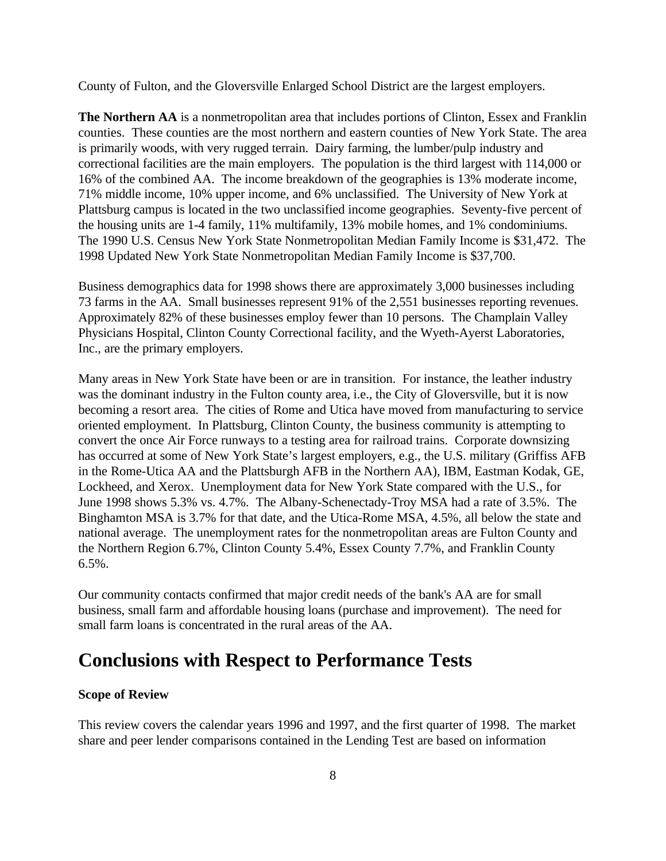County of Fulton, and the Gloversville Enlarged School District are the largest employers.

**The Northern AA** is a nonmetropolitan area that includes portions of Clinton, Essex and Franklin counties. These counties are the most northern and eastern counties of New York State. The area is primarily woods, with very rugged terrain. Dairy farming, the lumber/pulp industry and correctional facilities are the main employers. The population is the third largest with 114,000 or 16% of the combined AA. The income breakdown of the geographies is 13% moderate income, 71% middle income, 10% upper income, and 6% unclassified. The University of New York at Plattsburg campus is located in the two unclassified income geographies. Seventy-five percent of the housing units are 1-4 family, 11% multifamily, 13% mobile homes, and 1% condominiums. The 1990 U.S. Census New York State Nonmetropolitan Median Family Income is \$31,472. The 1998 Updated New York State Nonmetropolitan Median Family Income is \$37,700.

Business demographics data for 1998 shows there are approximately 3,000 businesses including 73 farms in the AA. Small businesses represent 91% of the 2,551 businesses reporting revenues. Approximately 82% of these businesses employ fewer than 10 persons. The Champlain Valley Physicians Hospital, Clinton County Correctional facility, and the Wyeth-Ayerst Laboratories, Inc., are the primary employers.

Many areas in New York State have been or are in transition. For instance, the leather industry was the dominant industry in the Fulton county area, i.e., the City of Gloversville, but it is now becoming a resort area. The cities of Rome and Utica have moved from manufacturing to service oriented employment. In Plattsburg, Clinton County, the business community is attempting to convert the once Air Force runways to a testing area for railroad trains. Corporate downsizing has occurred at some of New York State's largest employers, e.g., the U.S. military (Griffiss AFB in the Rome-Utica AA and the Plattsburgh AFB in the Northern AA), IBM, Eastman Kodak, GE, Lockheed, and Xerox. Unemployment data for New York State compared with the U.S., for June 1998 shows 5.3% vs. 4.7%. The Albany-Schenectady-Troy MSA had a rate of 3.5%. The Binghamton MSA is 3.7% for that date, and the Utica-Rome MSA, 4.5%, all below the state and national average. The unemployment rates for the nonmetropolitan areas are Fulton County and the Northern Region 6.7%, Clinton County 5.4%, Essex County 7.7%, and Franklin County  $6.5\%$ .

Our community contacts confirmed that major credit needs of the bank's AA are for small business, small farm and affordable housing loans (purchase and improvement). The need for small farm loans is concentrated in the rural areas of the AA.

# **Conclusions with Respect to Performance Tests**

### **Scope of Review**

This review covers the calendar years 1996 and 1997, and the first quarter of 1998. The market share and peer lender comparisons contained in the Lending Test are based on information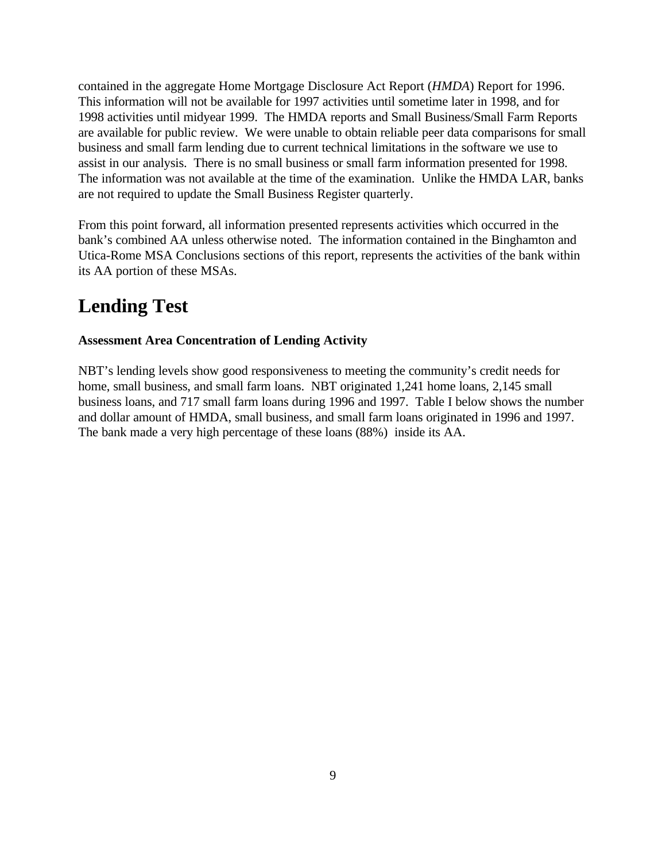contained in the aggregate Home Mortgage Disclosure Act Report (*HMDA*) Report for 1996. This information will not be available for 1997 activities until sometime later in 1998, and for 1998 activities until midyear 1999. The HMDA reports and Small Business/Small Farm Reports are available for public review. We were unable to obtain reliable peer data comparisons for small business and small farm lending due to current technical limitations in the software we use to assist in our analysis. There is no small business or small farm information presented for 1998. The information was not available at the time of the examination. Unlike the HMDA LAR, banks are not required to update the Small Business Register quarterly.

From this point forward, all information presented represents activities which occurred in the bank's combined AA unless otherwise noted. The information contained in the Binghamton and Utica-Rome MSA Conclusions sections of this report, represents the activities of the bank within its AA portion of these MSAs.

# **Lending Test**

## **Assessment Area Concentration of Lending Activity**

NBT's lending levels show good responsiveness to meeting the community's credit needs for home, small business, and small farm loans. NBT originated 1,241 home loans, 2,145 small business loans, and 717 small farm loans during 1996 and 1997. Table I below shows the number and dollar amount of HMDA, small business, and small farm loans originated in 1996 and 1997. The bank made a very high percentage of these loans (88%) inside its AA.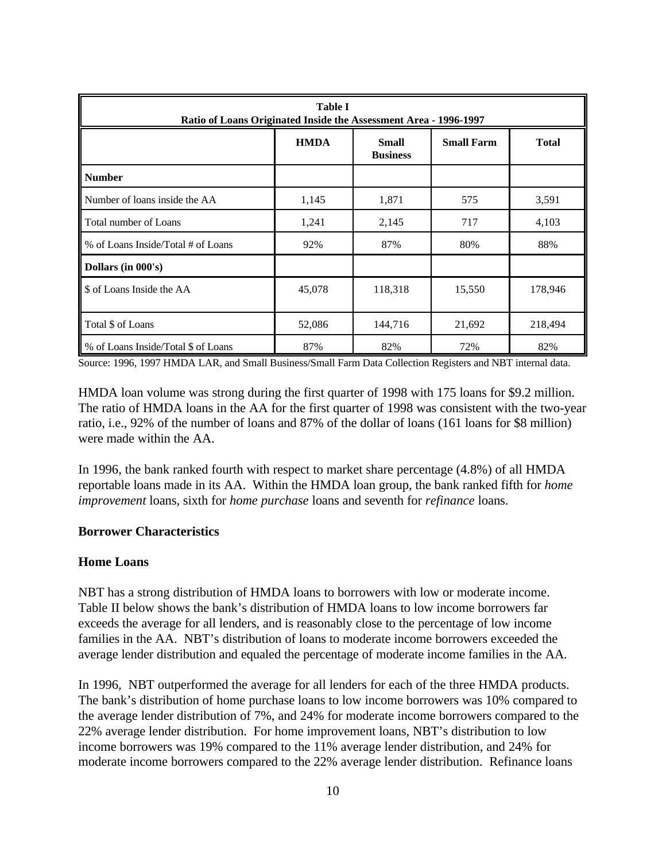| <b>Table I</b><br>Ratio of Loans Originated Inside the Assessment Area - 1996-1997 |             |                                 |                   |              |  |
|------------------------------------------------------------------------------------|-------------|---------------------------------|-------------------|--------------|--|
|                                                                                    | <b>HMDA</b> | <b>Small</b><br><b>Business</b> | <b>Small Farm</b> | <b>Total</b> |  |
| <b>Number</b>                                                                      |             |                                 |                   |              |  |
| Number of loans inside the AA                                                      | 1,145       | 1,871                           | 575               | 3,591        |  |
| Total number of Loans                                                              | 1,241       | 2,145                           | 717               | 4,103        |  |
| % of Loans Inside/Total # of Loans                                                 | 92%         | 87%                             | 80%               | 88%          |  |
| Dollars (in 000's)                                                                 |             |                                 |                   |              |  |
| \$ of Loans Inside the AA                                                          | 45,078      | 118,318                         | 15,550            | 178,946      |  |
| Total \$ of Loans                                                                  | 52,086      | 144,716                         | 21,692            | 218,494      |  |
| % of Loans Inside/Total \$ of Loans                                                | 87%         | 82%                             | 72%               | 82%          |  |

Source: 1996, 1997 HMDA LAR, and Small Business/Small Farm Data Collection Registers and NBT internal data.

HMDA loan volume was strong during the first quarter of 1998 with 175 loans for \$9.2 million. The ratio of HMDA loans in the AA for the first quarter of 1998 was consistent with the two-year ratio, i.e., 92% of the number of loans and 87% of the dollar of loans (161 loans for \$8 million) were made within the AA.

In 1996, the bank ranked fourth with respect to market share percentage (4.8%) of all HMDA reportable loans made in its AA. Within the HMDA loan group, the bank ranked fifth for *home improvement* loans, sixth for *home purchase* loans and seventh for *refinance* loans.

#### **Borrower Characteristics**

#### **Home Loans**

NBT has a strong distribution of HMDA loans to borrowers with low or moderate income. Table II below shows the bank's distribution of HMDA loans to low income borrowers far exceeds the average for all lenders, and is reasonably close to the percentage of low income families in the AA. NBT's distribution of loans to moderate income borrowers exceeded the average lender distribution and equaled the percentage of moderate income families in the AA.

In 1996, NBT outperformed the average for all lenders for each of the three HMDA products. The bank's distribution of home purchase loans to low income borrowers was 10% compared to the average lender distribution of 7%, and 24% for moderate income borrowers compared to the 22% average lender distribution. For home improvement loans, NBT's distribution to low income borrowers was 19% compared to the 11% average lender distribution, and 24% for moderate income borrowers compared to the 22% average lender distribution. Refinance loans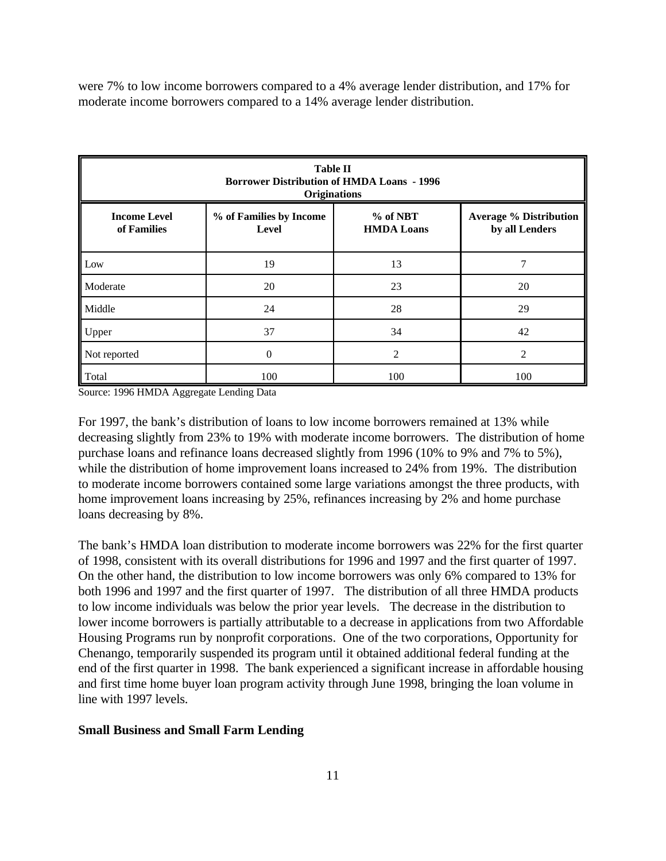were 7% to low income borrowers compared to a 4% average lender distribution, and 17% for moderate income borrowers compared to a 14% average lender distribution.

| <b>Table II</b><br><b>Borrower Distribution of HMDA Loans - 1996</b><br><b>Originations</b>                                                                |     |     |     |  |  |  |  |
|------------------------------------------------------------------------------------------------------------------------------------------------------------|-----|-----|-----|--|--|--|--|
| <b>Income Level</b><br>% of NBT<br>% of Families by Income<br><b>Average % Distribution</b><br><b>HMDA Loans</b><br>of Families<br>Level<br>by all Lenders |     |     |     |  |  |  |  |
| Low                                                                                                                                                        | 19  | 13  | 7   |  |  |  |  |
| Moderate                                                                                                                                                   | 20  | 23  | 20  |  |  |  |  |
| Middle                                                                                                                                                     | 24  | 28  | 29  |  |  |  |  |
| 34<br>42<br>37<br>Upper                                                                                                                                    |     |     |     |  |  |  |  |
| $\mathfrak{D}$<br>$\mathcal{D}_{\mathcal{A}}$<br>Not reported<br>0                                                                                         |     |     |     |  |  |  |  |
| Total                                                                                                                                                      | 100 | 100 | 100 |  |  |  |  |

Source: 1996 HMDA Aggregate Lending Data

For 1997, the bank's distribution of loans to low income borrowers remained at 13% while decreasing slightly from 23% to 19% with moderate income borrowers. The distribution of home purchase loans and refinance loans decreased slightly from 1996 (10% to 9% and 7% to 5%), while the distribution of home improvement loans increased to 24% from 19%. The distribution to moderate income borrowers contained some large variations amongst the three products, with home improvement loans increasing by 25%, refinances increasing by 2% and home purchase loans decreasing by 8%.

The bank's HMDA loan distribution to moderate income borrowers was 22% for the first quarter of 1998, consistent with its overall distributions for 1996 and 1997 and the first quarter of 1997. On the other hand, the distribution to low income borrowers was only 6% compared to 13% for both 1996 and 1997 and the first quarter of 1997. The distribution of all three HMDA products to low income individuals was below the prior year levels. The decrease in the distribution to lower income borrowers is partially attributable to a decrease in applications from two Affordable Housing Programs run by nonprofit corporations. One of the two corporations, Opportunity for Chenango, temporarily suspended its program until it obtained additional federal funding at the end of the first quarter in 1998. The bank experienced a significant increase in affordable housing and first time home buyer loan program activity through June 1998, bringing the loan volume in line with 1997 levels.

#### **Small Business and Small Farm Lending**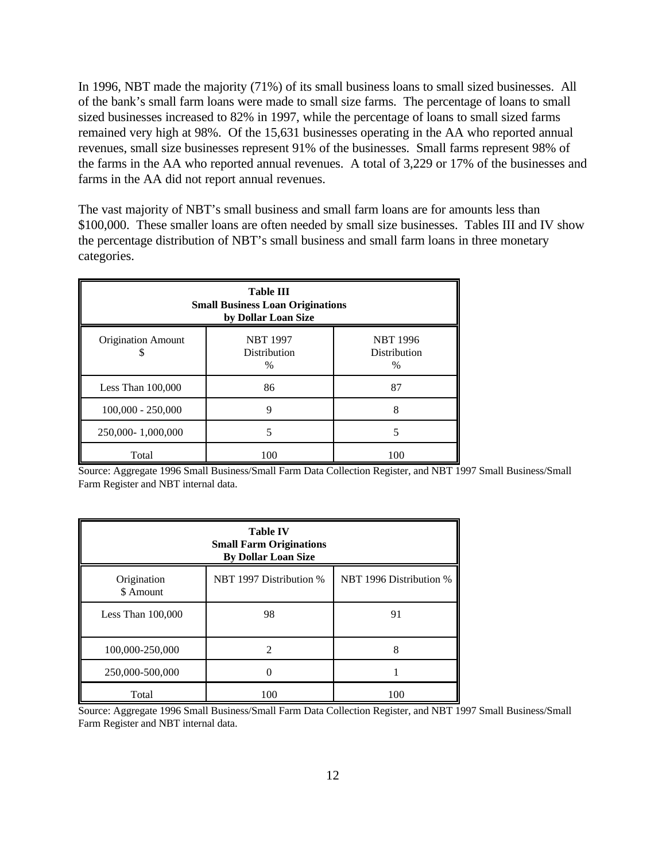In 1996, NBT made the majority (71%) of its small business loans to small sized businesses. All of the bank's small farm loans were made to small size farms. The percentage of loans to small sized businesses increased to 82% in 1997, while the percentage of loans to small sized farms remained very high at 98%. Of the 15,631 businesses operating in the AA who reported annual revenues, small size businesses represent 91% of the businesses. Small farms represent 98% of the farms in the AA who reported annual revenues. A total of 3,229 or 17% of the businesses and farms in the AA did not report annual revenues.

The vast majority of NBT's small business and small farm loans are for amounts less than \$100,000. These smaller loans are often needed by small size businesses. Tables III and IV show the percentage distribution of NBT's small business and small farm loans in three monetary categories.

| <b>Table III</b><br><b>Small Business Loan Originations</b><br>by Dollar Loan Size                                     |     |     |  |  |  |
|------------------------------------------------------------------------------------------------------------------------|-----|-----|--|--|--|
| <b>Origination Amount</b><br><b>NBT 1997</b><br><b>NBT 1996</b><br><b>Distribution</b><br>Distribution<br>$\%$<br>$\%$ |     |     |  |  |  |
| 86<br>87<br>Less Than $100,000$                                                                                        |     |     |  |  |  |
| $100,000 - 250,000$<br>Q<br>8                                                                                          |     |     |  |  |  |
| 250,000-1,000,000                                                                                                      |     |     |  |  |  |
| Total                                                                                                                  | 100 | 100 |  |  |  |

Source: Aggregate 1996 Small Business/Small Farm Data Collection Register, and NBT 1997 Small Business/Small Farm Register and NBT internal data.

| <b>Table IV</b><br><b>Small Farm Originations</b><br><b>By Dollar Loan Size</b> |                             |     |  |  |  |
|---------------------------------------------------------------------------------|-----------------------------|-----|--|--|--|
| NBT 1997 Distribution %<br>NBT 1996 Distribution %<br>Origination<br>\$ Amount  |                             |     |  |  |  |
| Less Than $100,000$                                                             | 98                          | 91  |  |  |  |
| 100,000-250,000                                                                 | $\mathcal{D}_{\mathcal{A}}$ | 8   |  |  |  |
| 250,000-500,000                                                                 |                             |     |  |  |  |
| Total                                                                           | 100                         | 100 |  |  |  |

Source: Aggregate 1996 Small Business/Small Farm Data Collection Register, and NBT 1997 Small Business/Small Farm Register and NBT internal data.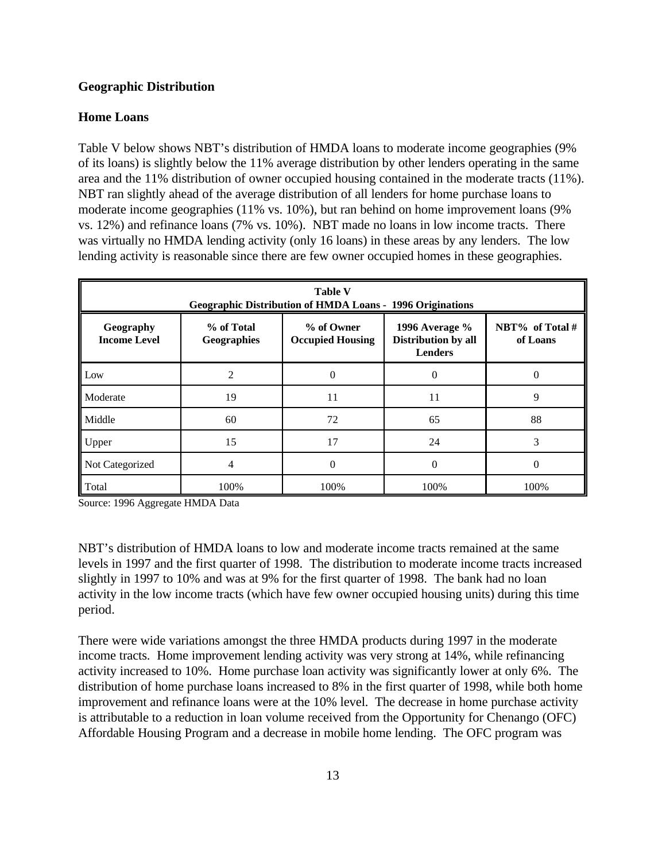#### **Geographic Distribution**

#### **Home Loans**

Table V below shows NBT's distribution of HMDA loans to moderate income geographies (9% of its loans) is slightly below the 11% average distribution by other lenders operating in the same area and the 11% distribution of owner occupied housing contained in the moderate tracts (11%). NBT ran slightly ahead of the average distribution of all lenders for home purchase loans to moderate income geographies (11% vs. 10%), but ran behind on home improvement loans (9% vs. 12%) and refinance loans (7% vs. 10%). NBT made no loans in low income tracts. There was virtually no HMDA lending activity (only 16 loans) in these areas by any lenders. The low lending activity is reasonable since there are few owner occupied homes in these geographies.

| <b>Table V</b><br><b>Geographic Distribution of HMDA Loans - 1996 Originations</b> |                           |                                       |                                                         |                             |  |
|------------------------------------------------------------------------------------|---------------------------|---------------------------------------|---------------------------------------------------------|-----------------------------|--|
| Geography<br><b>Income Level</b>                                                   | % of Total<br>Geographies | % of Owner<br><b>Occupied Housing</b> | 1996 Average %<br>Distribution by all<br><b>Lenders</b> | NBT% of Total #<br>of Loans |  |
| Low                                                                                | 2                         |                                       |                                                         |                             |  |
| Moderate                                                                           | 19                        | 11                                    | 11                                                      | 9                           |  |
| Middle                                                                             | 60                        | 72                                    | 65                                                      | 88                          |  |
| Upper                                                                              | 15                        | 17                                    | 24                                                      | 3                           |  |
| Not Categorized                                                                    | 4                         | 0                                     | 0                                                       | $\Omega$                    |  |
| Total                                                                              | 100%                      | 100%                                  | 100%                                                    | 100%                        |  |

Source: 1996 Aggregate HMDA Data

NBT's distribution of HMDA loans to low and moderate income tracts remained at the same levels in 1997 and the first quarter of 1998. The distribution to moderate income tracts increased slightly in 1997 to 10% and was at 9% for the first quarter of 1998. The bank had no loan activity in the low income tracts (which have few owner occupied housing units) during this time period.

There were wide variations amongst the three HMDA products during 1997 in the moderate income tracts. Home improvement lending activity was very strong at 14%, while refinancing activity increased to 10%. Home purchase loan activity was significantly lower at only 6%. The distribution of home purchase loans increased to 8% in the first quarter of 1998, while both home improvement and refinance loans were at the 10% level. The decrease in home purchase activity is attributable to a reduction in loan volume received from the Opportunity for Chenango (OFC) Affordable Housing Program and a decrease in mobile home lending. The OFC program was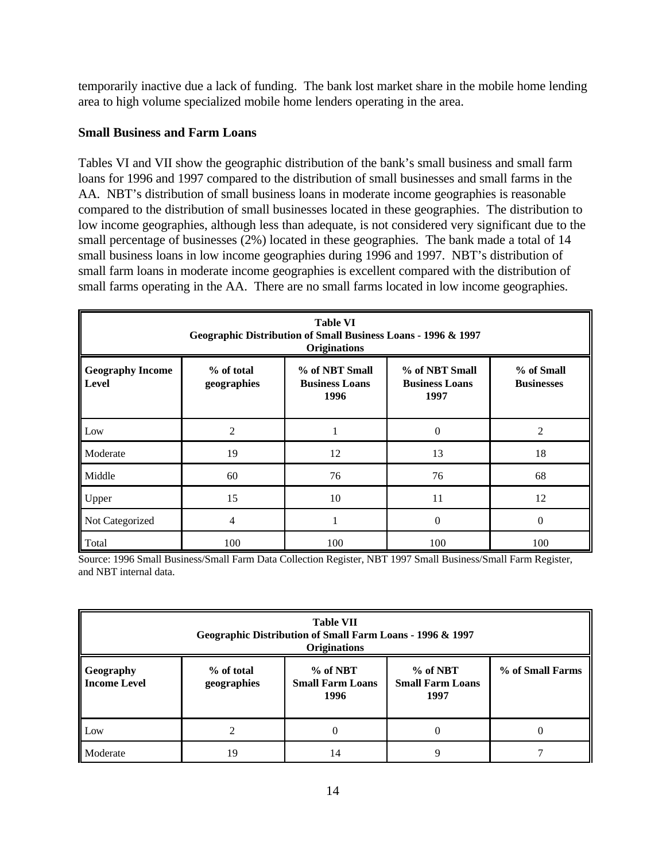temporarily inactive due a lack of funding. The bank lost market share in the mobile home lending area to high volume specialized mobile home lenders operating in the area.

### **Small Business and Farm Loans**

Tables VI and VII show the geographic distribution of the bank's small business and small farm loans for 1996 and 1997 compared to the distribution of small businesses and small farms in the AA. NBT's distribution of small business loans in moderate income geographies is reasonable compared to the distribution of small businesses located in these geographies. The distribution to low income geographies, although less than adequate, is not considered very significant due to the small percentage of businesses (2%) located in these geographies. The bank made a total of 14 small business loans in low income geographies during 1996 and 1997. NBT's distribution of small farm loans in moderate income geographies is excellent compared with the distribution of small farms operating in the AA. There are no small farms located in low income geographies.

| <b>Table VI</b><br>Geographic Distribution of Small Business Loans - 1996 & 1997<br><b>Originations</b> |                                                                                                                                                                    |     |                |     |  |  |  |
|---------------------------------------------------------------------------------------------------------|--------------------------------------------------------------------------------------------------------------------------------------------------------------------|-----|----------------|-----|--|--|--|
| <b>Geography Income</b><br>Level                                                                        | % of NBT Small<br>% of NBT Small<br>% of total<br>% of Small<br>geographies<br><b>Business Loans</b><br><b>Businesses</b><br><b>Business Loans</b><br>1996<br>1997 |     |                |     |  |  |  |
| Low                                                                                                     | 2                                                                                                                                                                  |     | $\overline{0}$ | 2   |  |  |  |
| Moderate                                                                                                | 19                                                                                                                                                                 | 12  | 13             | 18  |  |  |  |
| Middle                                                                                                  | 60                                                                                                                                                                 | 76  | 76             | 68  |  |  |  |
| Upper                                                                                                   | 15                                                                                                                                                                 | 10  | 11             | 12  |  |  |  |
| Not Categorized                                                                                         | 4                                                                                                                                                                  |     | 0              | 0   |  |  |  |
| Total                                                                                                   | 100                                                                                                                                                                | 100 | 100            | 100 |  |  |  |

Source: 1996 Small Business/Small Farm Data Collection Register, NBT 1997 Small Business/Small Farm Register, and NBT internal data.

| <b>Table VII</b><br>Geographic Distribution of Small Farm Loans - 1996 & 1997<br><b>Originations</b>                                                                                |    |    |          |  |  |
|-------------------------------------------------------------------------------------------------------------------------------------------------------------------------------------|----|----|----------|--|--|
| % of Small Farms<br>$%$ of NBT<br>% of total<br>$%$ of NBT<br>Geography<br><b>Income Level</b><br><b>Small Farm Loans</b><br><b>Small Farm Loans</b><br>geographies<br>1996<br>1997 |    |    |          |  |  |
| Low                                                                                                                                                                                 |    |    | $\left($ |  |  |
| Moderate                                                                                                                                                                            | 19 | 14 |          |  |  |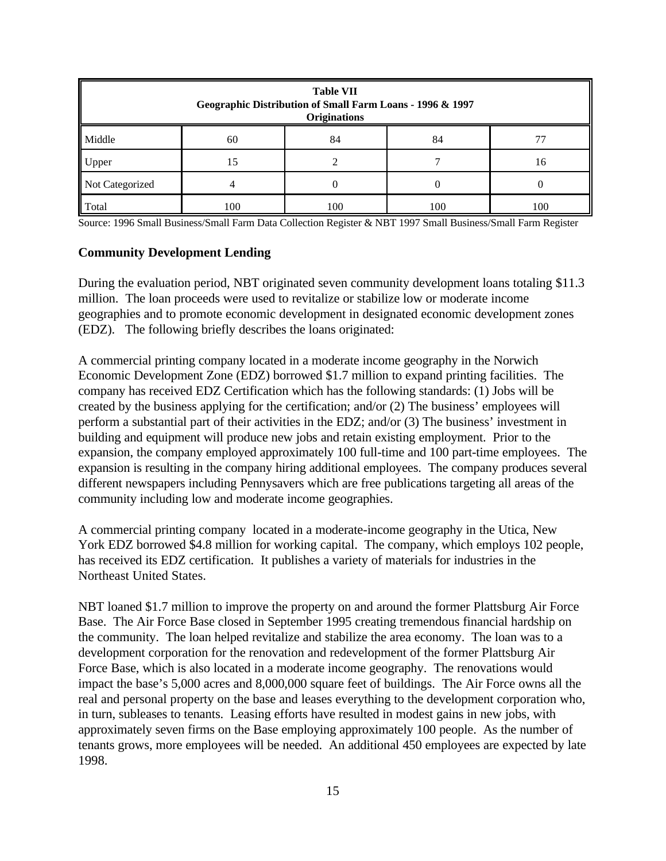| <b>Table VII</b><br>Geographic Distribution of Small Farm Loans - 1996 & 1997<br><b>Originations</b> |     |     |     |     |  |  |
|------------------------------------------------------------------------------------------------------|-----|-----|-----|-----|--|--|
| Middle<br>84<br>84<br>60                                                                             |     |     |     |     |  |  |
| Upper<br>15<br>16                                                                                    |     |     |     |     |  |  |
| Not Categorized                                                                                      |     |     |     |     |  |  |
| Total                                                                                                | 100 | 100 | 100 | 100 |  |  |

Source: 1996 Small Business/Small Farm Data Collection Register & NBT 1997 Small Business/Small Farm Register

#### **Community Development Lending**

During the evaluation period, NBT originated seven community development loans totaling \$11.3 million. The loan proceeds were used to revitalize or stabilize low or moderate income geographies and to promote economic development in designated economic development zones (EDZ). The following briefly describes the loans originated:

A commercial printing company located in a moderate income geography in the Norwich Economic Development Zone (EDZ) borrowed \$1.7 million to expand printing facilities. The company has received EDZ Certification which has the following standards: (1) Jobs will be created by the business applying for the certification; and/or (2) The business' employees will perform a substantial part of their activities in the EDZ; and/or (3) The business' investment in building and equipment will produce new jobs and retain existing employment. Prior to the expansion, the company employed approximately 100 full-time and 100 part-time employees. The expansion is resulting in the company hiring additional employees. The company produces several different newspapers including Pennysavers which are free publications targeting all areas of the community including low and moderate income geographies.

A commercial printing company located in a moderate-income geography in the Utica, New York EDZ borrowed \$4.8 million for working capital. The company, which employs 102 people, has received its EDZ certification. It publishes a variety of materials for industries in the Northeast United States.

NBT loaned \$1.7 million to improve the property on and around the former Plattsburg Air Force Base. The Air Force Base closed in September 1995 creating tremendous financial hardship on the community. The loan helped revitalize and stabilize the area economy. The loan was to a development corporation for the renovation and redevelopment of the former Plattsburg Air Force Base, which is also located in a moderate income geography. The renovations would impact the base's 5,000 acres and 8,000,000 square feet of buildings. The Air Force owns all the real and personal property on the base and leases everything to the development corporation who, in turn, subleases to tenants. Leasing efforts have resulted in modest gains in new jobs, with approximately seven firms on the Base employing approximately 100 people. As the number of tenants grows, more employees will be needed. An additional 450 employees are expected by late 1998.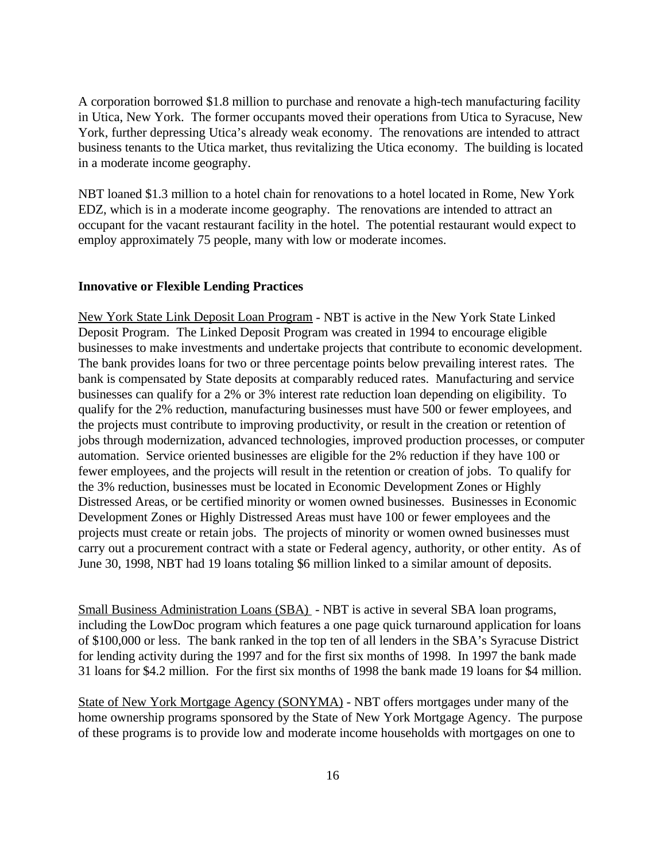A corporation borrowed \$1.8 million to purchase and renovate a high-tech manufacturing facility in Utica, New York. The former occupants moved their operations from Utica to Syracuse, New York, further depressing Utica's already weak economy. The renovations are intended to attract business tenants to the Utica market, thus revitalizing the Utica economy. The building is located in a moderate income geography.

NBT loaned \$1.3 million to a hotel chain for renovations to a hotel located in Rome, New York EDZ, which is in a moderate income geography. The renovations are intended to attract an occupant for the vacant restaurant facility in the hotel. The potential restaurant would expect to employ approximately 75 people, many with low or moderate incomes.

#### **Innovative or Flexible Lending Practices**

New York State Link Deposit Loan Program - NBT is active in the New York State Linked Deposit Program. The Linked Deposit Program was created in 1994 to encourage eligible businesses to make investments and undertake projects that contribute to economic development. The bank provides loans for two or three percentage points below prevailing interest rates. The bank is compensated by State deposits at comparably reduced rates. Manufacturing and service businesses can qualify for a 2% or 3% interest rate reduction loan depending on eligibility. To qualify for the 2% reduction, manufacturing businesses must have 500 or fewer employees, and the projects must contribute to improving productivity, or result in the creation or retention of jobs through modernization, advanced technologies, improved production processes, or computer automation. Service oriented businesses are eligible for the 2% reduction if they have 100 or fewer employees, and the projects will result in the retention or creation of jobs. To qualify for the 3% reduction, businesses must be located in Economic Development Zones or Highly Distressed Areas, or be certified minority or women owned businesses. Businesses in Economic Development Zones or Highly Distressed Areas must have 100 or fewer employees and the projects must create or retain jobs. The projects of minority or women owned businesses must carry out a procurement contract with a state or Federal agency, authority, or other entity. As of June 30, 1998, NBT had 19 loans totaling \$6 million linked to a similar amount of deposits.

Small Business Administration Loans (SBA) - NBT is active in several SBA loan programs, including the LowDoc program which features a one page quick turnaround application for loans of \$100,000 or less. The bank ranked in the top ten of all lenders in the SBA's Syracuse District for lending activity during the 1997 and for the first six months of 1998. In 1997 the bank made 31 loans for \$4.2 million. For the first six months of 1998 the bank made 19 loans for \$4 million.

State of New York Mortgage Agency (SONYMA) - NBT offers mortgages under many of the home ownership programs sponsored by the State of New York Mortgage Agency. The purpose of these programs is to provide low and moderate income households with mortgages on one to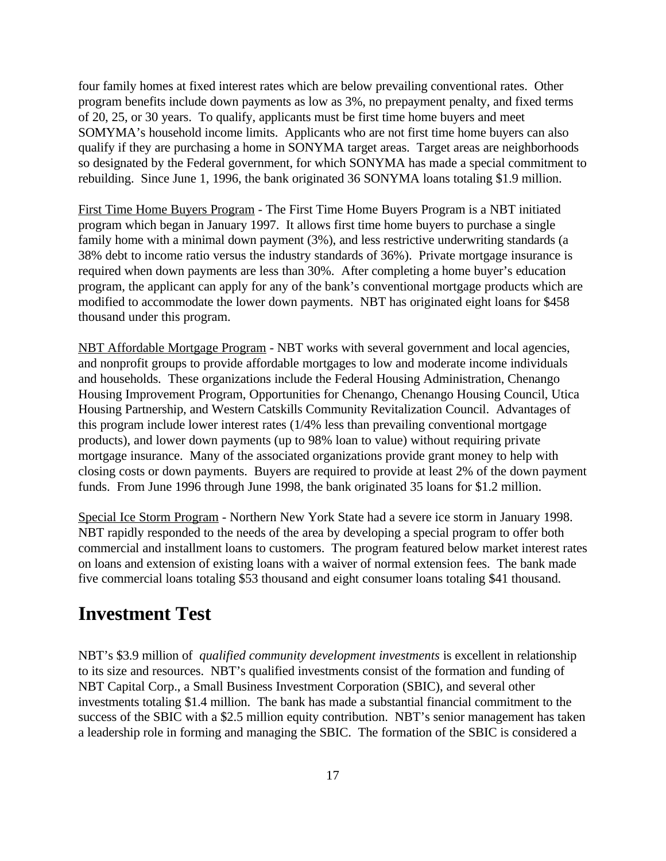four family homes at fixed interest rates which are below prevailing conventional rates. Other program benefits include down payments as low as 3%, no prepayment penalty, and fixed terms of 20, 25, or 30 years. To qualify, applicants must be first time home buyers and meet SOMYMA's household income limits. Applicants who are not first time home buyers can also qualify if they are purchasing a home in SONYMA target areas. Target areas are neighborhoods so designated by the Federal government, for which SONYMA has made a special commitment to rebuilding. Since June 1, 1996, the bank originated 36 SONYMA loans totaling \$1.9 million.

First Time Home Buyers Program - The First Time Home Buyers Program is a NBT initiated program which began in January 1997. It allows first time home buyers to purchase a single family home with a minimal down payment (3%), and less restrictive underwriting standards (a 38% debt to income ratio versus the industry standards of 36%). Private mortgage insurance is required when down payments are less than 30%. After completing a home buyer's education program, the applicant can apply for any of the bank's conventional mortgage products which are modified to accommodate the lower down payments. NBT has originated eight loans for \$458 thousand under this program.

NBT Affordable Mortgage Program - NBT works with several government and local agencies, and nonprofit groups to provide affordable mortgages to low and moderate income individuals and households. These organizations include the Federal Housing Administration, Chenango Housing Improvement Program, Opportunities for Chenango, Chenango Housing Council, Utica Housing Partnership, and Western Catskills Community Revitalization Council. Advantages of this program include lower interest rates (1/4% less than prevailing conventional mortgage products), and lower down payments (up to 98% loan to value) without requiring private mortgage insurance. Many of the associated organizations provide grant money to help with closing costs or down payments. Buyers are required to provide at least 2% of the down payment funds. From June 1996 through June 1998, the bank originated 35 loans for \$1.2 million.

Special Ice Storm Program - Northern New York State had a severe ice storm in January 1998. NBT rapidly responded to the needs of the area by developing a special program to offer both commercial and installment loans to customers. The program featured below market interest rates on loans and extension of existing loans with a waiver of normal extension fees. The bank made five commercial loans totaling \$53 thousand and eight consumer loans totaling \$41 thousand.

# **Investment Test**

NBT's \$3.9 million of *qualified community development investments* is excellent in relationship to its size and resources. NBT's qualified investments consist of the formation and funding of NBT Capital Corp., a Small Business Investment Corporation (SBIC), and several other investments totaling \$1.4 million. The bank has made a substantial financial commitment to the success of the SBIC with a \$2.5 million equity contribution. NBT's senior management has taken a leadership role in forming and managing the SBIC. The formation of the SBIC is considered a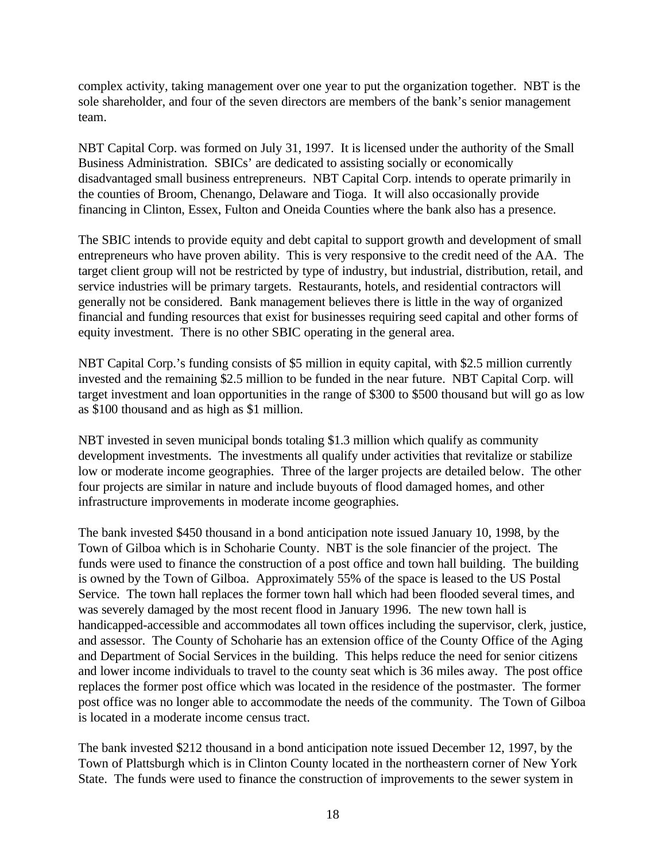complex activity, taking management over one year to put the organization together. NBT is the sole shareholder, and four of the seven directors are members of the bank's senior management team.

NBT Capital Corp. was formed on July 31, 1997. It is licensed under the authority of the Small Business Administration. SBICs' are dedicated to assisting socially or economically disadvantaged small business entrepreneurs. NBT Capital Corp. intends to operate primarily in the counties of Broom, Chenango, Delaware and Tioga. It will also occasionally provide financing in Clinton, Essex, Fulton and Oneida Counties where the bank also has a presence.

The SBIC intends to provide equity and debt capital to support growth and development of small entrepreneurs who have proven ability. This is very responsive to the credit need of the AA. The target client group will not be restricted by type of industry, but industrial, distribution, retail, and service industries will be primary targets. Restaurants, hotels, and residential contractors will generally not be considered. Bank management believes there is little in the way of organized financial and funding resources that exist for businesses requiring seed capital and other forms of equity investment. There is no other SBIC operating in the general area.

NBT Capital Corp.'s funding consists of \$5 million in equity capital, with \$2.5 million currently invested and the remaining \$2.5 million to be funded in the near future. NBT Capital Corp. will target investment and loan opportunities in the range of \$300 to \$500 thousand but will go as low as \$100 thousand and as high as \$1 million.

NBT invested in seven municipal bonds totaling \$1.3 million which qualify as community development investments. The investments all qualify under activities that revitalize or stabilize low or moderate income geographies. Three of the larger projects are detailed below. The other four projects are similar in nature and include buyouts of flood damaged homes, and other infrastructure improvements in moderate income geographies.

The bank invested \$450 thousand in a bond anticipation note issued January 10, 1998, by the Town of Gilboa which is in Schoharie County. NBT is the sole financier of the project. The funds were used to finance the construction of a post office and town hall building. The building is owned by the Town of Gilboa. Approximately 55% of the space is leased to the US Postal Service. The town hall replaces the former town hall which had been flooded several times, and was severely damaged by the most recent flood in January 1996. The new town hall is handicapped-accessible and accommodates all town offices including the supervisor, clerk, justice, and assessor. The County of Schoharie has an extension office of the County Office of the Aging and Department of Social Services in the building. This helps reduce the need for senior citizens and lower income individuals to travel to the county seat which is 36 miles away. The post office replaces the former post office which was located in the residence of the postmaster. The former post office was no longer able to accommodate the needs of the community. The Town of Gilboa is located in a moderate income census tract.

The bank invested \$212 thousand in a bond anticipation note issued December 12, 1997, by the Town of Plattsburgh which is in Clinton County located in the northeastern corner of New York State. The funds were used to finance the construction of improvements to the sewer system in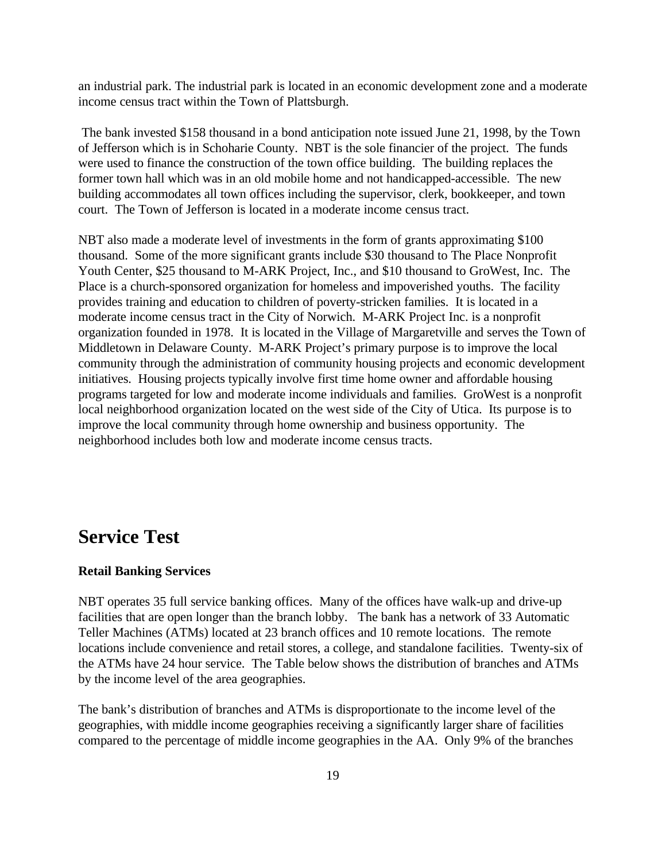an industrial park. The industrial park is located in an economic development zone and a moderate income census tract within the Town of Plattsburgh.

 The bank invested \$158 thousand in a bond anticipation note issued June 21, 1998, by the Town of Jefferson which is in Schoharie County. NBT is the sole financier of the project. The funds were used to finance the construction of the town office building. The building replaces the former town hall which was in an old mobile home and not handicapped-accessible. The new building accommodates all town offices including the supervisor, clerk, bookkeeper, and town court. The Town of Jefferson is located in a moderate income census tract.

NBT also made a moderate level of investments in the form of grants approximating \$100 thousand. Some of the more significant grants include \$30 thousand to The Place Nonprofit Youth Center, \$25 thousand to M-ARK Project, Inc., and \$10 thousand to GroWest, Inc. The Place is a church-sponsored organization for homeless and impoverished youths. The facility provides training and education to children of poverty-stricken families. It is located in a moderate income census tract in the City of Norwich. M-ARK Project Inc. is a nonprofit organization founded in 1978. It is located in the Village of Margaretville and serves the Town of Middletown in Delaware County. M-ARK Project's primary purpose is to improve the local community through the administration of community housing projects and economic development initiatives. Housing projects typically involve first time home owner and affordable housing programs targeted for low and moderate income individuals and families. GroWest is a nonprofit local neighborhood organization located on the west side of the City of Utica. Its purpose is to improve the local community through home ownership and business opportunity. The neighborhood includes both low and moderate income census tracts.

# **Service Test**

#### **Retail Banking Services**

NBT operates 35 full service banking offices. Many of the offices have walk-up and drive-up facilities that are open longer than the branch lobby. The bank has a network of 33 Automatic Teller Machines (ATMs) located at 23 branch offices and 10 remote locations. The remote locations include convenience and retail stores, a college, and standalone facilities. Twenty-six of the ATMs have 24 hour service. The Table below shows the distribution of branches and ATMs by the income level of the area geographies.

The bank's distribution of branches and ATMs is disproportionate to the income level of the geographies, with middle income geographies receiving a significantly larger share of facilities compared to the percentage of middle income geographies in the AA. Only 9% of the branches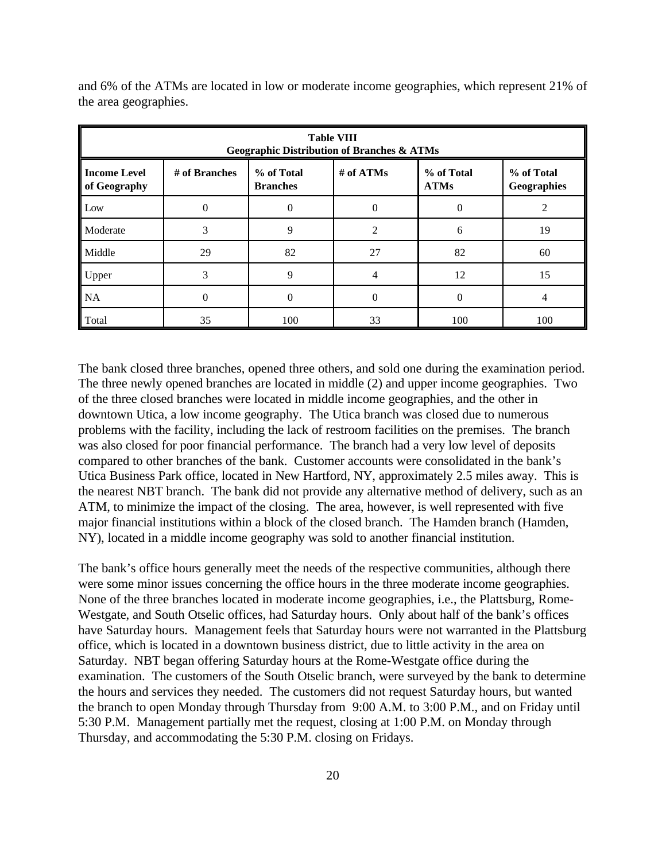| <b>Table VIII</b><br><b>Geographic Distribution of Branches &amp; ATMs</b> |                                                                                                                       |          |          |          |     |  |  |
|----------------------------------------------------------------------------|-----------------------------------------------------------------------------------------------------------------------|----------|----------|----------|-----|--|--|
| Income Level<br>of Geography                                               | # of ATMs<br>% of Total<br>% of Total<br># of Branches<br>% of Total<br><b>ATMs</b><br><b>Branches</b><br>Geographies |          |          |          |     |  |  |
| Low                                                                        | $\Omega$                                                                                                              | 0        | $\Omega$ | $\Omega$ |     |  |  |
| <b>Moderate</b>                                                            | 3                                                                                                                     | 9        | C        | 6        | 19  |  |  |
| Middle                                                                     | 29                                                                                                                    | 82       | 27       | 82       | 60  |  |  |
| Upper                                                                      | 3                                                                                                                     | 9        | 4        | 12       | 15  |  |  |
| <b>NA</b>                                                                  | $\Omega$                                                                                                              | $\theta$ | $\Omega$ | $\Omega$ |     |  |  |
| ll Total                                                                   | 35                                                                                                                    | 100      | 33       | 100      | 100 |  |  |

and 6% of the ATMs are located in low or moderate income geographies, which represent 21% of the area geographies.

The bank closed three branches, opened three others, and sold one during the examination period. The three newly opened branches are located in middle (2) and upper income geographies. Two of the three closed branches were located in middle income geographies, and the other in downtown Utica, a low income geography. The Utica branch was closed due to numerous problems with the facility, including the lack of restroom facilities on the premises. The branch was also closed for poor financial performance. The branch had a very low level of deposits compared to other branches of the bank. Customer accounts were consolidated in the bank's Utica Business Park office, located in New Hartford, NY, approximately 2.5 miles away. This is the nearest NBT branch. The bank did not provide any alternative method of delivery, such as an ATM, to minimize the impact of the closing. The area, however, is well represented with five major financial institutions within a block of the closed branch. The Hamden branch (Hamden, NY), located in a middle income geography was sold to another financial institution.

The bank's office hours generally meet the needs of the respective communities, although there were some minor issues concerning the office hours in the three moderate income geographies. None of the three branches located in moderate income geographies, i.e., the Plattsburg, Rome-Westgate, and South Otselic offices, had Saturday hours. Only about half of the bank's offices have Saturday hours. Management feels that Saturday hours were not warranted in the Plattsburg office, which is located in a downtown business district, due to little activity in the area on Saturday. NBT began offering Saturday hours at the Rome-Westgate office during the examination. The customers of the South Otselic branch, were surveyed by the bank to determine the hours and services they needed. The customers did not request Saturday hours, but wanted the branch to open Monday through Thursday from 9:00 A.M. to 3:00 P.M., and on Friday until 5:30 P.M. Management partially met the request, closing at 1:00 P.M. on Monday through Thursday, and accommodating the 5:30 P.M. closing on Fridays.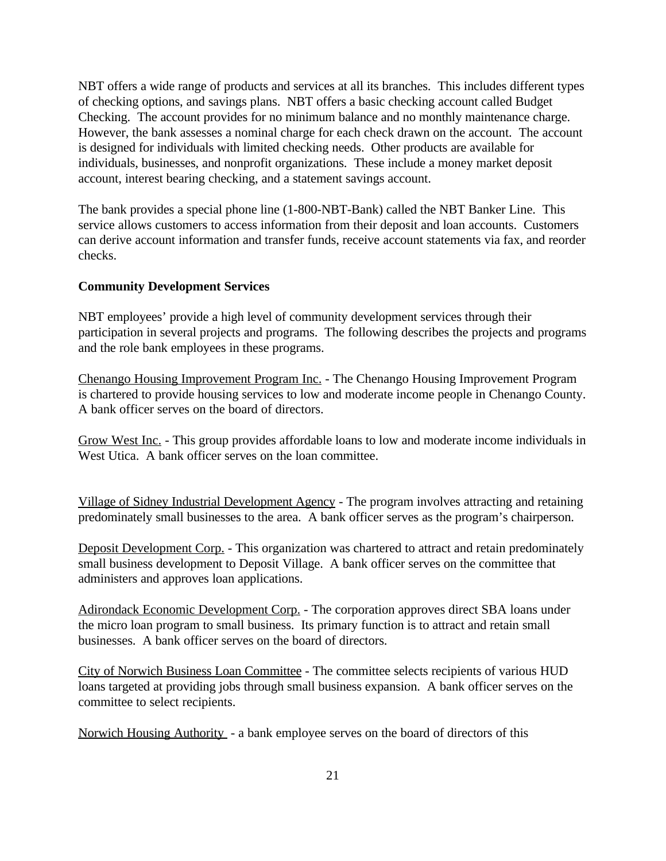NBT offers a wide range of products and services at all its branches. This includes different types of checking options, and savings plans. NBT offers a basic checking account called Budget Checking. The account provides for no minimum balance and no monthly maintenance charge. However, the bank assesses a nominal charge for each check drawn on the account. The account is designed for individuals with limited checking needs. Other products are available for individuals, businesses, and nonprofit organizations. These include a money market deposit account, interest bearing checking, and a statement savings account.

The bank provides a special phone line (1-800-NBT-Bank) called the NBT Banker Line. This service allows customers to access information from their deposit and loan accounts. Customers can derive account information and transfer funds, receive account statements via fax, and reorder checks.

### **Community Development Services**

NBT employees' provide a high level of community development services through their participation in several projects and programs. The following describes the projects and programs and the role bank employees in these programs.

Chenango Housing Improvement Program Inc. - The Chenango Housing Improvement Program is chartered to provide housing services to low and moderate income people in Chenango County. A bank officer serves on the board of directors.

Grow West Inc. - This group provides affordable loans to low and moderate income individuals in West Utica. A bank officer serves on the loan committee.

Village of Sidney Industrial Development Agency - The program involves attracting and retaining predominately small businesses to the area. A bank officer serves as the program's chairperson.

Deposit Development Corp. - This organization was chartered to attract and retain predominately small business development to Deposit Village. A bank officer serves on the committee that administers and approves loan applications.

Adirondack Economic Development Corp. - The corporation approves direct SBA loans under the micro loan program to small business. Its primary function is to attract and retain small businesses. A bank officer serves on the board of directors.

City of Norwich Business Loan Committee - The committee selects recipients of various HUD loans targeted at providing jobs through small business expansion. A bank officer serves on the committee to select recipients.

Norwich Housing Authority - a bank employee serves on the board of directors of this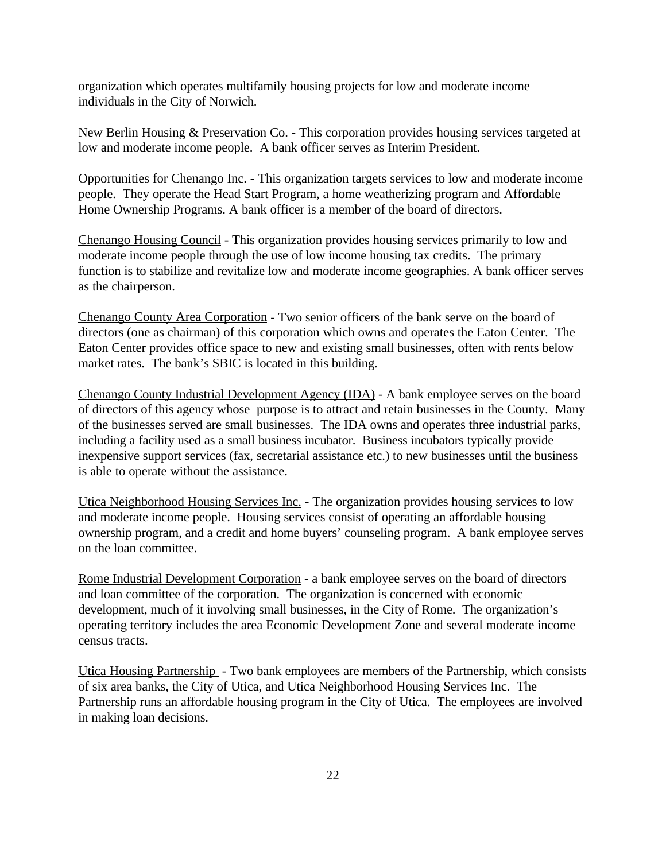organization which operates multifamily housing projects for low and moderate income individuals in the City of Norwich.

New Berlin Housing & Preservation Co. - This corporation provides housing services targeted at low and moderate income people. A bank officer serves as Interim President.

Opportunities for Chenango Inc. - This organization targets services to low and moderate income people. They operate the Head Start Program, a home weatherizing program and Affordable Home Ownership Programs. A bank officer is a member of the board of directors.

Chenango Housing Council - This organization provides housing services primarily to low and moderate income people through the use of low income housing tax credits. The primary function is to stabilize and revitalize low and moderate income geographies. A bank officer serves as the chairperson.

Chenango County Area Corporation - Two senior officers of the bank serve on the board of directors (one as chairman) of this corporation which owns and operates the Eaton Center. The Eaton Center provides office space to new and existing small businesses, often with rents below market rates. The bank's SBIC is located in this building.

Chenango County Industrial Development Agency (IDA) - A bank employee serves on the board of directors of this agency whose purpose is to attract and retain businesses in the County. Many of the businesses served are small businesses. The IDA owns and operates three industrial parks, including a facility used as a small business incubator. Business incubators typically provide inexpensive support services (fax, secretarial assistance etc.) to new businesses until the business is able to operate without the assistance.

Utica Neighborhood Housing Services Inc. - The organization provides housing services to low and moderate income people. Housing services consist of operating an affordable housing ownership program, and a credit and home buyers' counseling program. A bank employee serves on the loan committee.

Rome Industrial Development Corporation - a bank employee serves on the board of directors and loan committee of the corporation. The organization is concerned with economic development, much of it involving small businesses, in the City of Rome. The organization's operating territory includes the area Economic Development Zone and several moderate income census tracts.

Utica Housing Partnership - Two bank employees are members of the Partnership, which consists of six area banks, the City of Utica, and Utica Neighborhood Housing Services Inc. The Partnership runs an affordable housing program in the City of Utica. The employees are involved in making loan decisions.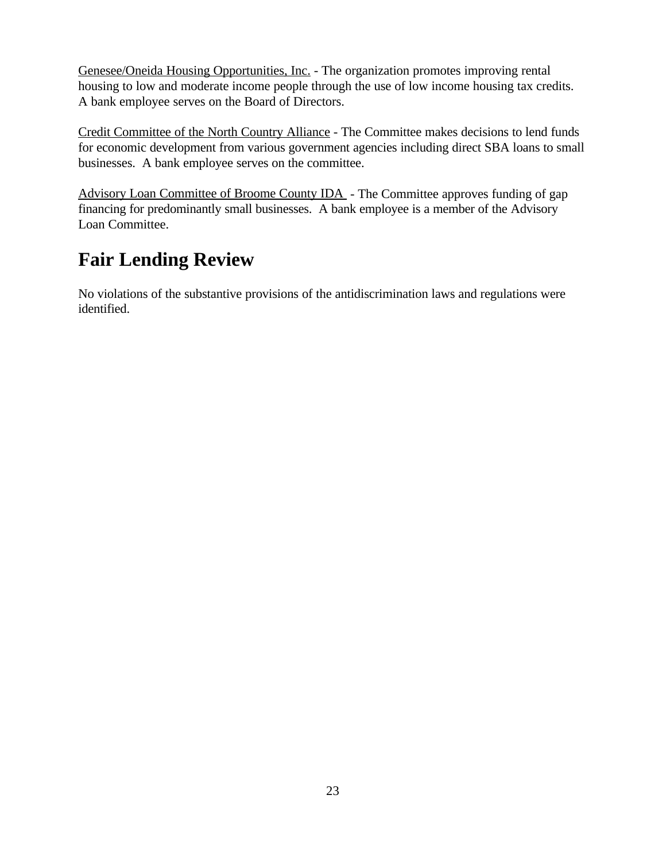Genesee/Oneida Housing Opportunities, Inc. - The organization promotes improving rental housing to low and moderate income people through the use of low income housing tax credits. A bank employee serves on the Board of Directors.

Credit Committee of the North Country Alliance - The Committee makes decisions to lend funds for economic development from various government agencies including direct SBA loans to small businesses. A bank employee serves on the committee.

Advisory Loan Committee of Broome County IDA - The Committee approves funding of gap financing for predominantly small businesses. A bank employee is a member of the Advisory Loan Committee.

# **Fair Lending Review**

No violations of the substantive provisions of the antidiscrimination laws and regulations were identified.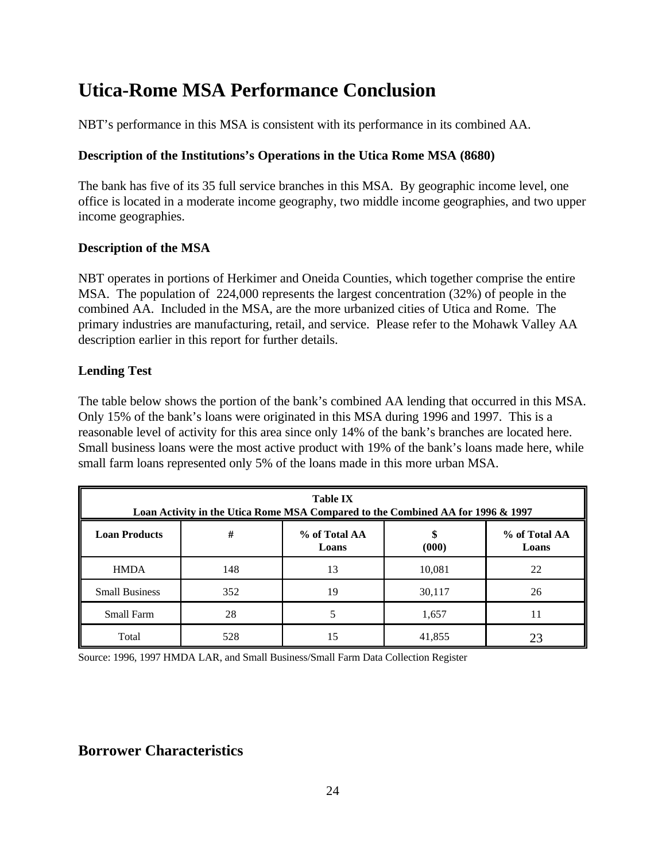# **Utica-Rome MSA Performance Conclusion**

NBT's performance in this MSA is consistent with its performance in its combined AA.

## **Description of the Institutions's Operations in the Utica Rome MSA (8680)**

The bank has five of its 35 full service branches in this MSA. By geographic income level, one office is located in a moderate income geography, two middle income geographies, and two upper income geographies.

## **Description of the MSA**

NBT operates in portions of Herkimer and Oneida Counties, which together comprise the entire MSA. The population of 224,000 represents the largest concentration (32%) of people in the combined AA. Included in the MSA, are the more urbanized cities of Utica and Rome. The primary industries are manufacturing, retail, and service. Please refer to the Mohawk Valley AA description earlier in this report for further details.

## **Lending Test**

The table below shows the portion of the bank's combined AA lending that occurred in this MSA. Only 15% of the bank's loans were originated in this MSA during 1996 and 1997. This is a reasonable level of activity for this area since only 14% of the bank's branches are located here. Small business loans were the most active product with 19% of the bank's loans made here, while small farm loans represented only 5% of the loans made in this more urban MSA.

| <b>Table IX</b><br>Loan Activity in the Utica Rome MSA Compared to the Combined AA for 1996 & 1997 |                                                                |    |        |    |  |  |  |
|----------------------------------------------------------------------------------------------------|----------------------------------------------------------------|----|--------|----|--|--|--|
| <b>Loan Products</b>                                                                               | #<br>% of Total AA<br>% of Total AA<br>(000)<br>Loans<br>Loans |    |        |    |  |  |  |
| <b>HMDA</b>                                                                                        | 148                                                            | 13 | 10,081 | 22 |  |  |  |
| <b>Small Business</b>                                                                              | 352                                                            | 19 | 30,117 | 26 |  |  |  |
| <b>Small Farm</b>                                                                                  | 28                                                             |    | 1,657  | 11 |  |  |  |
| Total                                                                                              | 528                                                            | 15 | 41,855 |    |  |  |  |

Source: 1996, 1997 HMDA LAR, and Small Business/Small Farm Data Collection Register

# **Borrower Characteristics**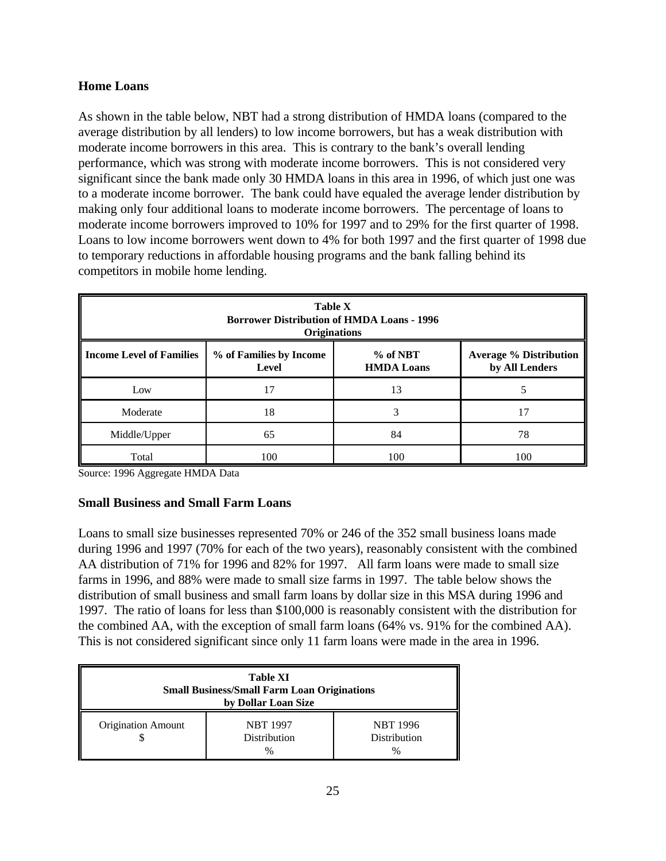## **Home Loans**

As shown in the table below, NBT had a strong distribution of HMDA loans (compared to the average distribution by all lenders) to low income borrowers, but has a weak distribution with moderate income borrowers in this area. This is contrary to the bank's overall lending performance, which was strong with moderate income borrowers. This is not considered very significant since the bank made only 30 HMDA loans in this area in 1996, of which just one was to a moderate income borrower. The bank could have equaled the average lender distribution by making only four additional loans to moderate income borrowers. The percentage of loans to moderate income borrowers improved to 10% for 1997 and to 29% for the first quarter of 1998. Loans to low income borrowers went down to 4% for both 1997 and the first quarter of 1998 due to temporary reductions in affordable housing programs and the bank falling behind its competitors in mobile home lending.

| <b>Table X</b><br><b>Borrower Distribution of HMDA Loans - 1996</b><br><b>Originations</b> |                                                                                                                        |     |     |  |
|--------------------------------------------------------------------------------------------|------------------------------------------------------------------------------------------------------------------------|-----|-----|--|
| <b>Income Level of Families</b>                                                            | % of Families by Income<br>$%$ of NBT<br><b>Average % Distribution</b><br>by All Lenders<br><b>HMDA Loans</b><br>Level |     |     |  |
| Low                                                                                        | 17                                                                                                                     | 13  |     |  |
| Moderate                                                                                   | 18                                                                                                                     | 3   | 17  |  |
| Middle/Upper                                                                               | 65                                                                                                                     | 84  | 78  |  |
| Total                                                                                      | 100                                                                                                                    | 100 | 100 |  |

Source: 1996 Aggregate HMDA Data

### **Small Business and Small Farm Loans**

Loans to small size businesses represented 70% or 246 of the 352 small business loans made during 1996 and 1997 (70% for each of the two years), reasonably consistent with the combined AA distribution of 71% for 1996 and 82% for 1997. All farm loans were made to small size farms in 1996, and 88% were made to small size farms in 1997. The table below shows the distribution of small business and small farm loans by dollar size in this MSA during 1996 and 1997. The ratio of loans for less than \$100,000 is reasonably consistent with the distribution for the combined AA, with the exception of small farm loans (64% vs. 91% for the combined AA). This is not considered significant since only 11 farm loans were made in the area in 1996.

| <b>Table XI</b><br><b>Small Business/Small Farm Loan Originations</b><br>by Dollar Loan Size |                                        |                                         |  |
|----------------------------------------------------------------------------------------------|----------------------------------------|-----------------------------------------|--|
| <b>Origination Amount</b>                                                                    | <b>NBT 1997</b><br><b>Distribution</b> | <b>NBT</b> 1996<br>Distribution<br>$\%$ |  |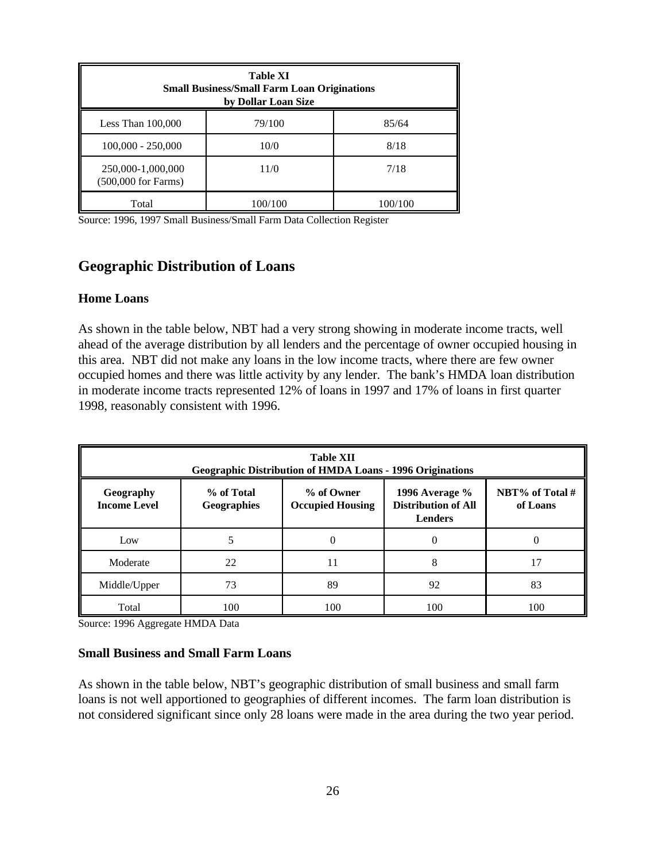| <b>Table XI</b><br><b>Small Business/Small Farm Loan Originations</b><br>by Dollar Loan Size |         |         |  |  |
|----------------------------------------------------------------------------------------------|---------|---------|--|--|
| Less Than $100,000$                                                                          | 79/100  | 85/64   |  |  |
| $100,000 - 250,000$                                                                          | 10/0    | 8/18    |  |  |
| 250,000-1,000,000<br>$(500,000$ for Farms)                                                   | 11/0    | 7/18    |  |  |
| Total                                                                                        | 100/100 | 100/100 |  |  |

Source: 1996, 1997 Small Business/Small Farm Data Collection Register

# **Geographic Distribution of Loans**

#### **Home Loans**

As shown in the table below, NBT had a very strong showing in moderate income tracts, well ahead of the average distribution by all lenders and the percentage of owner occupied housing in this area. NBT did not make any loans in the low income tracts, where there are few owner occupied homes and there was little activity by any lender. The bank's HMDA loan distribution in moderate income tracts represented 12% of loans in 1997 and 17% of loans in first quarter 1998, reasonably consistent with 1996.

| <b>Table XII</b><br><b>Geographic Distribution of HMDA Loans - 1996 Originations</b> |                                  |                                                                                                                                           |     |     |  |
|--------------------------------------------------------------------------------------|----------------------------------|-------------------------------------------------------------------------------------------------------------------------------------------|-----|-----|--|
| Geography<br><b>Income Level</b>                                                     | % of Total<br><b>Geographies</b> | NBT% of Total #<br>% of Owner<br>1996 Average $\%$<br><b>Distribution of All</b><br><b>Occupied Housing</b><br>of Loans<br><b>Lenders</b> |     |     |  |
| Low                                                                                  |                                  |                                                                                                                                           |     |     |  |
| Moderate                                                                             | 22                               | 11                                                                                                                                        | 8   | 17  |  |
| Middle/Upper                                                                         | 73                               | 89                                                                                                                                        | 92  | 83  |  |
| Total                                                                                | 100                              | 100                                                                                                                                       | 100 | 100 |  |

Source: 1996 Aggregate HMDA Data

#### **Small Business and Small Farm Loans**

As shown in the table below, NBT's geographic distribution of small business and small farm loans is not well apportioned to geographies of different incomes. The farm loan distribution is not considered significant since only 28 loans were made in the area during the two year period.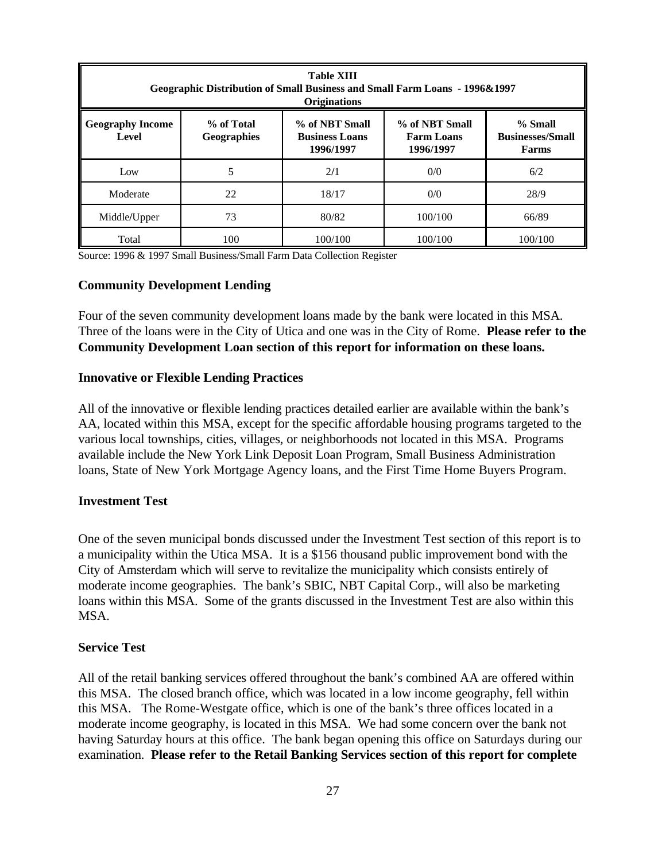| <b>Table XIII</b><br><b>Geographic Distribution of Small Business and Small Farm Loans - 1996&amp;1997</b><br><b>Originations</b> |                                                                                                                                                                                             |         |         |         |
|-----------------------------------------------------------------------------------------------------------------------------------|---------------------------------------------------------------------------------------------------------------------------------------------------------------------------------------------|---------|---------|---------|
| <b>Geography Income</b><br>Level                                                                                                  | % of NBT Small<br>% of Total<br>% of NBT Small<br>% Small<br><b>Businesses/Small</b><br><b>Geographies</b><br><b>Business Loans</b><br><b>Farm Loans</b><br>1996/1997<br>1996/1997<br>Farms |         |         |         |
| Low                                                                                                                               | 5                                                                                                                                                                                           | 2/1     | 0/0     | 6/2     |
| Moderate                                                                                                                          | 22                                                                                                                                                                                          | 18/17   | 0/0     | 28/9    |
| Middle/Upper                                                                                                                      | 73                                                                                                                                                                                          | 80/82   | 100/100 | 66/89   |
| Total                                                                                                                             | 100                                                                                                                                                                                         | 100/100 | 100/100 | 100/100 |

Source: 1996 & 1997 Small Business/Small Farm Data Collection Register

#### **Community Development Lending**

Four of the seven community development loans made by the bank were located in this MSA. Three of the loans were in the City of Utica and one was in the City of Rome. **Please refer to the Community Development Loan section of this report for information on these loans.** 

#### **Innovative or Flexible Lending Practices**

All of the innovative or flexible lending practices detailed earlier are available within the bank's AA, located within this MSA, except for the specific affordable housing programs targeted to the various local townships, cities, villages, or neighborhoods not located in this MSA. Programs available include the New York Link Deposit Loan Program, Small Business Administration loans, State of New York Mortgage Agency loans, and the First Time Home Buyers Program.

#### **Investment Test**

One of the seven municipal bonds discussed under the Investment Test section of this report is to a municipality within the Utica MSA. It is a \$156 thousand public improvement bond with the City of Amsterdam which will serve to revitalize the municipality which consists entirely of moderate income geographies. The bank's SBIC, NBT Capital Corp., will also be marketing loans within this MSA. Some of the grants discussed in the Investment Test are also within this MSA.

#### **Service Test**

All of the retail banking services offered throughout the bank's combined AA are offered within this MSA. The closed branch office, which was located in a low income geography, fell within this MSA. The Rome-Westgate office, which is one of the bank's three offices located in a moderate income geography, is located in this MSA. We had some concern over the bank not having Saturday hours at this office. The bank began opening this office on Saturdays during our examination. **Please refer to the Retail Banking Services section of this report for complete**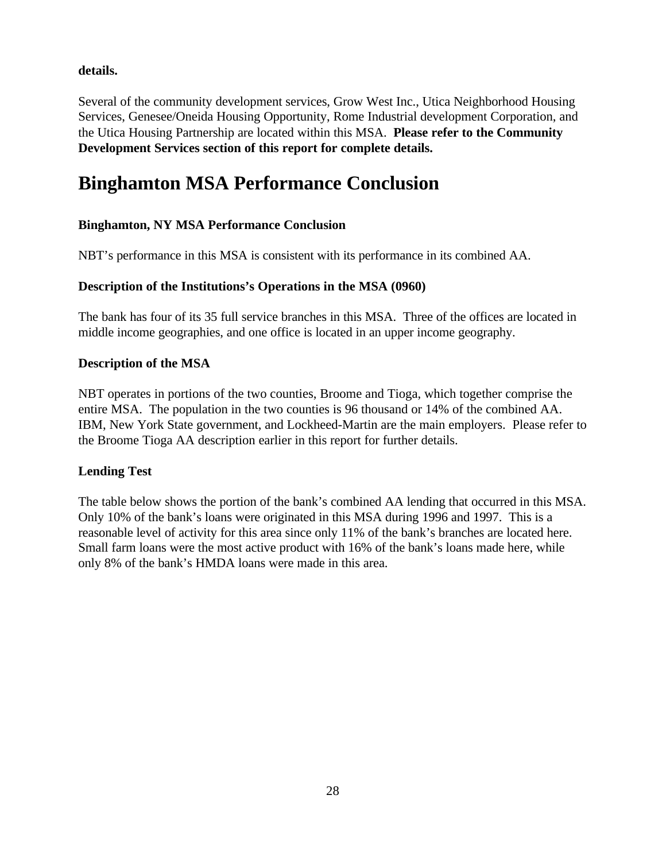## **details.**

Several of the community development services, Grow West Inc., Utica Neighborhood Housing Services, Genesee/Oneida Housing Opportunity, Rome Industrial development Corporation, and the Utica Housing Partnership are located within this MSA. **Please refer to the Community Development Services section of this report for complete details.** 

# **Binghamton MSA Performance Conclusion**

# **Binghamton, NY MSA Performance Conclusion**

NBT's performance in this MSA is consistent with its performance in its combined AA.

## **Description of the Institutions's Operations in the MSA (0960)**

The bank has four of its 35 full service branches in this MSA. Three of the offices are located in middle income geographies, and one office is located in an upper income geography.

## **Description of the MSA**

NBT operates in portions of the two counties, Broome and Tioga, which together comprise the entire MSA. The population in the two counties is 96 thousand or 14% of the combined AA. IBM, New York State government, and Lockheed-Martin are the main employers. Please refer to the Broome Tioga AA description earlier in this report for further details.

### **Lending Test**

The table below shows the portion of the bank's combined AA lending that occurred in this MSA. Only 10% of the bank's loans were originated in this MSA during 1996 and 1997. This is a reasonable level of activity for this area since only 11% of the bank's branches are located here. Small farm loans were the most active product with 16% of the bank's loans made here, while only 8% of the bank's HMDA loans were made in this area.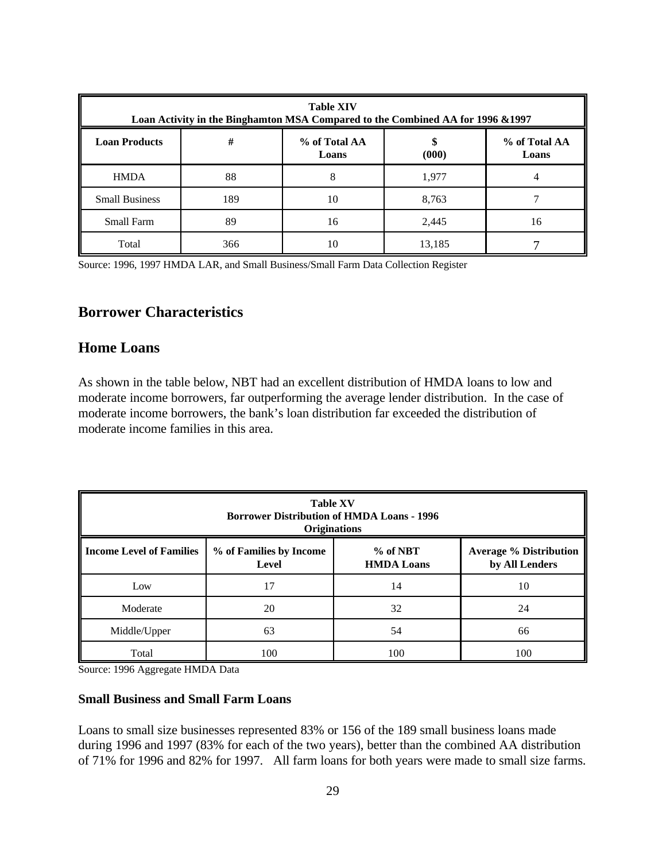| <b>Table XIV</b><br>Loan Activity in the Binghamton MSA Compared to the Combined AA for 1996 & 1997 |     |                        |        |                        |
|-----------------------------------------------------------------------------------------------------|-----|------------------------|--------|------------------------|
| <b>Loan Products</b>                                                                                | #   | % of Total AA<br>Loans | (000)  | % of Total AA<br>Loans |
| <b>HMDA</b>                                                                                         | 88  |                        | 1,977  |                        |
| <b>Small Business</b>                                                                               | 189 | 10                     | 8,763  |                        |
| <b>Small Farm</b>                                                                                   | 89  | 16                     | 2,445  | 16                     |
| Total                                                                                               | 366 | 10                     | 13,185 |                        |

Source: 1996, 1997 HMDA LAR, and Small Business/Small Farm Data Collection Register

# **Borrower Characteristics**

# **Home Loans**

As shown in the table below, NBT had an excellent distribution of HMDA loans to low and moderate income borrowers, far outperforming the average lender distribution. In the case of moderate income borrowers, the bank's loan distribution far exceeded the distribution of moderate income families in this area.

| <b>Table XV</b><br><b>Borrower Distribution of HMDA Loans - 1996</b><br><b>Originations</b> |                                                                                                                        |     |     |  |  |
|---------------------------------------------------------------------------------------------|------------------------------------------------------------------------------------------------------------------------|-----|-----|--|--|
| <b>Income Level of Families</b>                                                             | $%$ of NBT<br>% of Families by Income<br><b>Average % Distribution</b><br>by All Lenders<br><b>HMDA Loans</b><br>Level |     |     |  |  |
| Low                                                                                         | 17                                                                                                                     | 14  | 10  |  |  |
| Moderate                                                                                    | 20                                                                                                                     | 32  | 24  |  |  |
| Middle/Upper                                                                                | 63                                                                                                                     | 54  | 66  |  |  |
| Total                                                                                       | 100                                                                                                                    | 100 | 100 |  |  |

Source: 1996 Aggregate HMDA Data

#### **Small Business and Small Farm Loans**

Loans to small size businesses represented 83% or 156 of the 189 small business loans made during 1996 and 1997 (83% for each of the two years), better than the combined AA distribution of 71% for 1996 and 82% for 1997. All farm loans for both years were made to small size farms.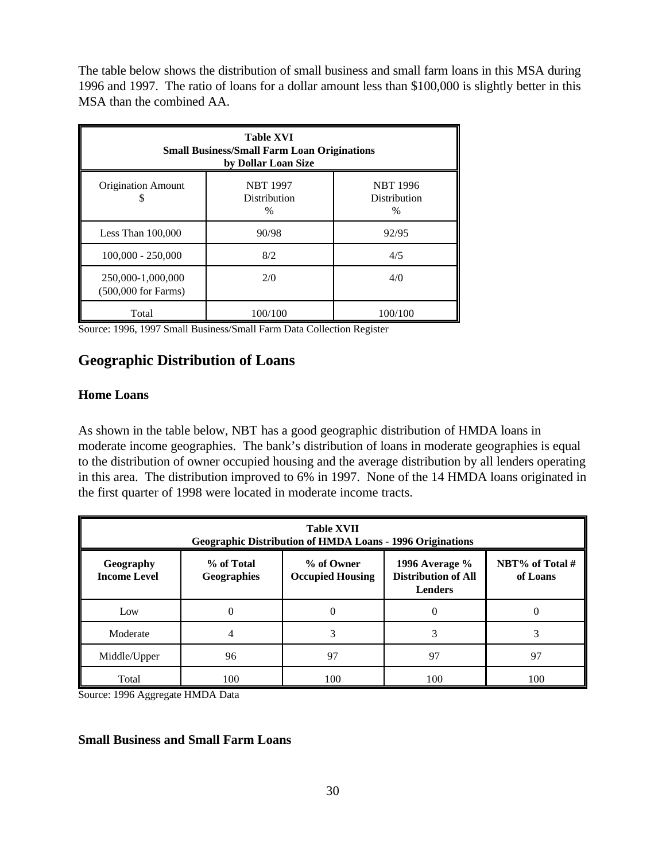The table below shows the distribution of small business and small farm loans in this MSA during 1996 and 1997. The ratio of loans for a dollar amount less than \$100,000 is slightly better in this MSA than the combined AA.

| <b>Table XVI</b><br><b>Small Business/Small Farm Loan Originations</b><br>by Dollar Loan Size |                                                |                                                |  |  |
|-----------------------------------------------------------------------------------------------|------------------------------------------------|------------------------------------------------|--|--|
| <b>Origination Amount</b>                                                                     | <b>NBT 1997</b><br><b>Distribution</b><br>$\%$ | <b>NBT 1996</b><br><b>Distribution</b><br>$\%$ |  |  |
| Less Than $100,000$                                                                           | 90/98                                          | 92/95                                          |  |  |
| $100,000 - 250,000$                                                                           | 8/2                                            | 4/5                                            |  |  |
| 250,000-1,000,000<br>$(500,000$ for Farms)                                                    | 2/0                                            | 4/0                                            |  |  |
| Total                                                                                         | 100/100                                        | 100/100                                        |  |  |

Source: 1996, 1997 Small Business/Small Farm Data Collection Register

# **Geographic Distribution of Loans**

### **Home Loans**

As shown in the table below, NBT has a good geographic distribution of HMDA loans in moderate income geographies. The bank's distribution of loans in moderate geographies is equal to the distribution of owner occupied housing and the average distribution by all lenders operating in this area. The distribution improved to 6% in 1997. None of the 14 HMDA loans originated in the first quarter of 1998 were located in moderate income tracts.

| <b>Table XVII</b><br><b>Geographic Distribution of HMDA Loans - 1996 Originations</b> |                                                                                                                                                                        |     |     |     |
|---------------------------------------------------------------------------------------|------------------------------------------------------------------------------------------------------------------------------------------------------------------------|-----|-----|-----|
| Geography<br><b>Income Level</b>                                                      | NBT% of Total #<br>% of Total<br>% of Owner<br>1996 Average $\%$<br><b>Distribution of All</b><br><b>Occupied Housing</b><br>Geographies<br>of Loans<br><b>Lenders</b> |     |     |     |
| Low                                                                                   | 0                                                                                                                                                                      | 0   | 0   |     |
| Moderate                                                                              | 4                                                                                                                                                                      |     | 3   |     |
| Middle/Upper                                                                          | 96                                                                                                                                                                     | 97  | 97  | 97  |
| Total                                                                                 | 100                                                                                                                                                                    | 100 | 100 | 100 |

Source: 1996 Aggregate HMDA Data

#### **Small Business and Small Farm Loans**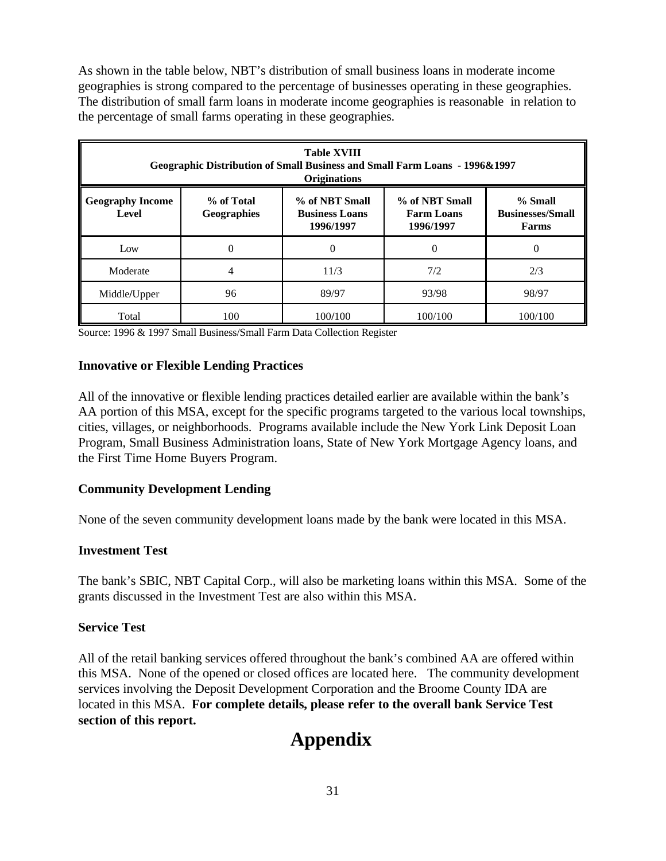As shown in the table below, NBT's distribution of small business loans in moderate income geographies is strong compared to the percentage of businesses operating in these geographies. The distribution of small farm loans in moderate income geographies is reasonable in relation to the percentage of small farms operating in these geographies.

| <b>Table XVIII</b><br><b>Geographic Distribution of Small Business and Small Farm Loans - 1996&amp;1997</b><br><b>Originations</b> |                                                                                                                                                                                                      |         |         |          |
|------------------------------------------------------------------------------------------------------------------------------------|------------------------------------------------------------------------------------------------------------------------------------------------------------------------------------------------------|---------|---------|----------|
| <b>Geography Income</b><br>Level                                                                                                   | % of Total<br>% of NBT Small<br>% of NBT Small<br>$%$ Small<br><b>Businesses/Small</b><br><b>Geographies</b><br><b>Business Loans</b><br><b>Farm Loans</b><br>1996/1997<br>1996/1997<br><b>Farms</b> |         |         |          |
| Low                                                                                                                                | $\theta$                                                                                                                                                                                             | 0       | 0       | $\Omega$ |
| Moderate                                                                                                                           | 4                                                                                                                                                                                                    | 11/3    | 7/2     | 2/3      |
| Middle/Upper                                                                                                                       | 96                                                                                                                                                                                                   | 89/97   | 93/98   | 98/97    |
| Total                                                                                                                              | 100                                                                                                                                                                                                  | 100/100 | 100/100 | 100/100  |

Source: 1996 & 1997 Small Business/Small Farm Data Collection Register

#### **Innovative or Flexible Lending Practices**

All of the innovative or flexible lending practices detailed earlier are available within the bank's AA portion of this MSA, except for the specific programs targeted to the various local townships, cities, villages, or neighborhoods. Programs available include the New York Link Deposit Loan Program, Small Business Administration loans, State of New York Mortgage Agency loans, and the First Time Home Buyers Program.

### **Community Development Lending**

None of the seven community development loans made by the bank were located in this MSA.

### **Investment Test**

The bank's SBIC, NBT Capital Corp., will also be marketing loans within this MSA. Some of the grants discussed in the Investment Test are also within this MSA.

#### **Service Test**

All of the retail banking services offered throughout the bank's combined AA are offered within this MSA. None of the opened or closed offices are located here. The community development services involving the Deposit Development Corporation and the Broome County IDA are located in this MSA. **For complete details, please refer to the overall bank Service Test section of this report.** 

# **Appendix**